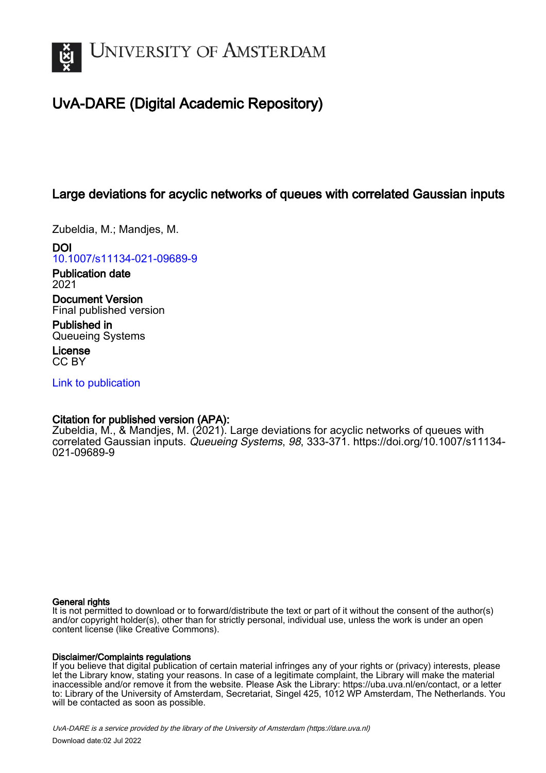

# UvA-DARE (Digital Academic Repository)

## Large deviations for acyclic networks of queues with correlated Gaussian inputs

Zubeldia, M.; Mandjes, M.

DOI [10.1007/s11134-021-09689-9](https://doi.org/10.1007/s11134-021-09689-9)

Publication date 2021

Document Version Final published version

Published in Queueing Systems

License CC BY

[Link to publication](https://dare.uva.nl/personal/pure/en/publications/large-deviations-for-acyclic-networks-of-queues-with-correlated-gaussian-inputs(d3f4214d-b32f-41dc-8fd2-bfef5cba876b).html)

## Citation for published version (APA):

Zubeldia, M., & Mandjes, M. (2021). Large deviations for acyclic networks of queues with correlated Gaussian inputs. Queueing Systems, 98, 333-371. [https://doi.org/10.1007/s11134-](https://doi.org/10.1007/s11134-021-09689-9) [021-09689-9](https://doi.org/10.1007/s11134-021-09689-9)

## General rights

It is not permitted to download or to forward/distribute the text or part of it without the consent of the author(s) and/or copyright holder(s), other than for strictly personal, individual use, unless the work is under an open content license (like Creative Commons).

## Disclaimer/Complaints regulations

If you believe that digital publication of certain material infringes any of your rights or (privacy) interests, please let the Library know, stating your reasons. In case of a legitimate complaint, the Library will make the material inaccessible and/or remove it from the website. Please Ask the Library: https://uba.uva.nl/en/contact, or a letter to: Library of the University of Amsterdam, Secretariat, Singel 425, 1012 WP Amsterdam, The Netherlands. You will be contacted as soon as possible.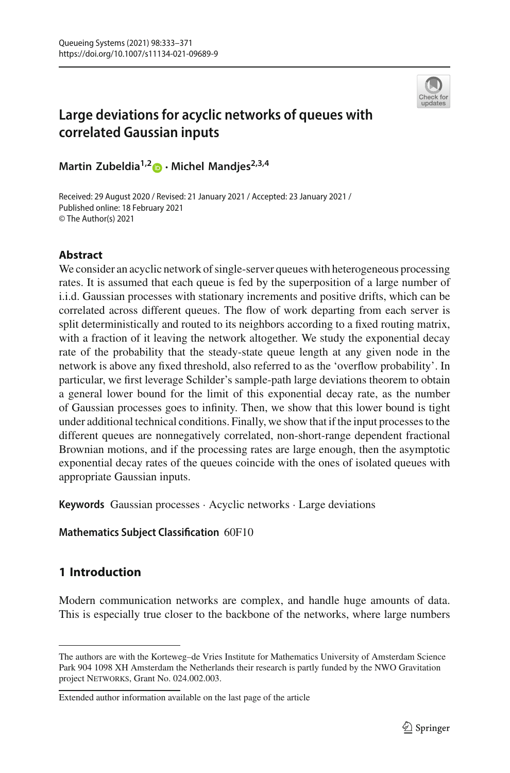

## **Large deviations for acyclic networks of queues with correlated Gaussian inputs**

**Martin Zubeldia1,[2](http://orcid.org/0000-0003-1320-9893) · Michel Mandjes2,3,4**

Received: 29 August 2020 / Revised: 21 January 2021 / Accepted: 23 January 2021 / Published online: 18 February 2021 © The Author(s) 2021

## **Abstract**

We consider an acyclic network of single-server queues with heterogeneous processing rates. It is assumed that each queue is fed by the superposition of a large number of i.i.d. Gaussian processes with stationary increments and positive drifts, which can be correlated across different queues. The flow of work departing from each server is split deterministically and routed to its neighbors according to a fixed routing matrix, with a fraction of it leaving the network altogether. We study the exponential decay rate of the probability that the steady-state queue length at any given node in the network is above any fixed threshold, also referred to as the 'overflow probability'. In particular, we first leverage Schilder's sample-path large deviations theorem to obtain a general lower bound for the limit of this exponential decay rate, as the number of Gaussian processes goes to infinity. Then, we show that this lower bound is tight under additional technical conditions. Finally, we show that if the input processes to the different queues are nonnegatively correlated, non-short-range dependent fractional Brownian motions, and if the processing rates are large enough, then the asymptotic exponential decay rates of the queues coincide with the ones of isolated queues with appropriate Gaussian inputs.

**Keywords** Gaussian processes · Acyclic networks · Large deviations

## **Mathematics Subject Classification** 60F10

## **1 Introduction**

Modern communication networks are complex, and handle huge amounts of data. This is especially true closer to the backbone of the networks, where large numbers

The authors are with the Korteweg–de Vries Institute for Mathematics University of Amsterdam Science Park 904 1098 XH Amsterdam the Netherlands their research is partly funded by the NWO Gravitation project NETWORKS, Grant No. 024.002.003.

Extended author information available on the last page of the article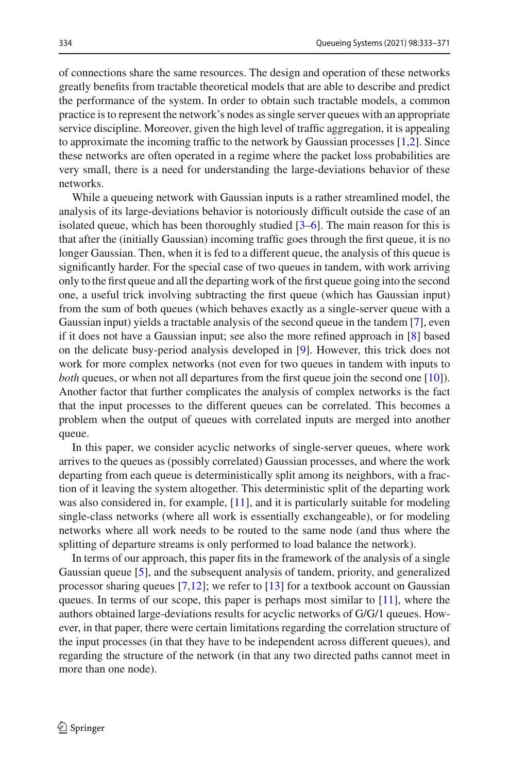of connections share the same resources. The design and operation of these networks greatly benefits from tractable theoretical models that are able to describe and predict the performance of the system. In order to obtain such tractable models, a common practice is to represent the network's nodes as single server queues with an appropriate service discipline. Moreover, given the high level of traffic aggregation, it is appealing to approximate the incoming traffic to the network by Gaussian processes [\[1](#page-38-0)[,2\]](#page-38-1). Since these networks are often operated in a regime where the packet loss probabilities are very small, there is a need for understanding the large-deviations behavior of these networks.

While a queueing network with Gaussian inputs is a rather streamlined model, the analysis of its large-deviations behavior is notoriously difficult outside the case of an isolated queue, which has been thoroughly studied [\[3](#page-38-2)[–6\]](#page-38-3). The main reason for this is that after the (initially Gaussian) incoming traffic goes through the first queue, it is no longer Gaussian. Then, when it is fed to a different queue, the analysis of this queue is significantly harder. For the special case of two queues in tandem, with work arriving only to the first queue and all the departing work of the first queue going into the second one, a useful trick involving subtracting the first queue (which has Gaussian input) from the sum of both queues (which behaves exactly as a single-server queue with a Gaussian input) yields a tractable analysis of the second queue in the tandem [\[7\]](#page-38-4), even if it does not have a Gaussian input; see also the more refined approach in [\[8](#page-38-5)] based on the delicate busy-period analysis developed in [\[9\]](#page-38-6). However, this trick does not work for more complex networks (not even for two queues in tandem with inputs to *both* queues, or when not all departures from the first queue join the second one [\[10\]](#page-38-7)). Another factor that further complicates the analysis of complex networks is the fact that the input processes to the different queues can be correlated. This becomes a problem when the output of queues with correlated inputs are merged into another queue.

In this paper, we consider acyclic networks of single-server queues, where work arrives to the queues as (possibly correlated) Gaussian processes, and where the work departing from each queue is deterministically split among its neighbors, with a fraction of it leaving the system altogether. This deterministic split of the departing work was also considered in, for example, [\[11\]](#page-38-8), and it is particularly suitable for modeling single-class networks (where all work is essentially exchangeable), or for modeling networks where all work needs to be routed to the same node (and thus where the splitting of departure streams is only performed to load balance the network).

In terms of our approach, this paper fits in the framework of the analysis of a single Gaussian queue [\[5](#page-38-9)], and the subsequent analysis of tandem, priority, and generalized processor sharing queues  $[7,12]$  $[7,12]$  $[7,12]$ ; we refer to  $[13]$  for a textbook account on Gaussian queues. In terms of our scope, this paper is perhaps most similar to  $[11]$ , where the authors obtained large-deviations results for acyclic networks of G/G/1 queues. However, in that paper, there were certain limitations regarding the correlation structure of the input processes (in that they have to be independent across different queues), and regarding the structure of the network (in that any two directed paths cannot meet in more than one node).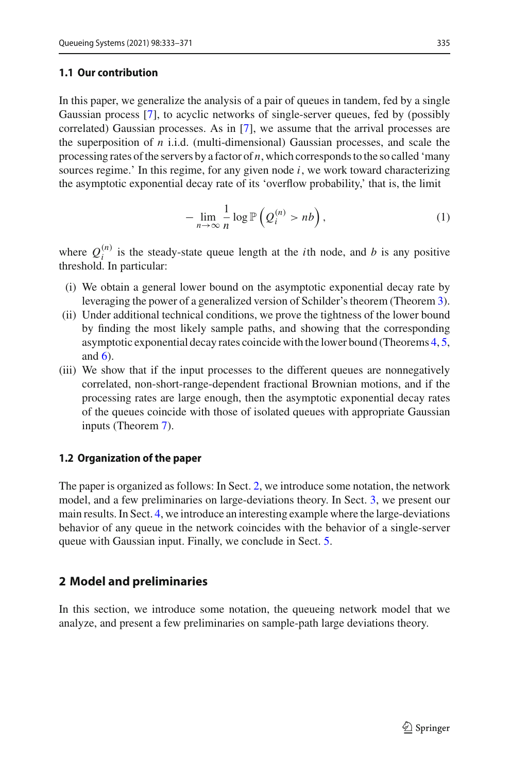#### **1.1 Our contribution**

In this paper, we generalize the analysis of a pair of queues in tandem, fed by a single Gaussian process [\[7\]](#page-38-4), to acyclic networks of single-server queues, fed by (possibly correlated) Gaussian processes. As in [\[7\]](#page-38-4), we assume that the arrival processes are the superposition of *n* i.i.d. (multi-dimensional) Gaussian processes, and scale the processing rates of the servers by a factor of *n*, which corresponds to the so called 'many sources regime.' In this regime, for any given node *i*, we work toward characterizing the asymptotic exponential decay rate of its 'overflow probability,' that is, the limit

$$
-\lim_{n\to\infty}\frac{1}{n}\log\mathbb{P}\left(Q_i^{(n)}>nb\right),\tag{1}
$$

where  $Q_i^{(n)}$  is the steady-state queue length at the *i*th node, and *b* is any positive threshold. In particular:

- (i) We obtain a general lower bound on the asymptotic exponential decay rate by leveraging the power of a generalized version of Schilder's theorem (Theorem [3\)](#page-11-0).
- (ii) Under additional technical conditions, we prove the tightness of the lower bound by finding the most likely sample paths, and showing that the corresponding asymptotic exponential decay rates coincide with the lower bound (Theorems [4,](#page-13-0) [5,](#page-13-1) and  $6$ ).
- (iii) We show that if the input processes to the different queues are nonnegatively correlated, non-short-range-dependent fractional Brownian motions, and if the processing rates are large enough, then the asymptotic exponential decay rates of the queues coincide with those of isolated queues with appropriate Gaussian inputs (Theorem [7\)](#page-16-0).

#### **1.2 Organization of the paper**

The paper is organized as follows: In Sect. [2,](#page-3-0) we introduce some notation, the network model, and a few preliminaries on large-deviations theory. In Sect. [3,](#page-8-0) we present our main results. In Sect. [4,](#page-15-0) we introduce an interesting example where the large-deviations behavior of any queue in the network coincides with the behavior of a single-server queue with Gaussian input. Finally, we conclude in Sect. [5.](#page-17-0)

#### <span id="page-3-0"></span>**2 Model and preliminaries**

In this section, we introduce some notation, the queueing network model that we analyze, and present a few preliminaries on sample-path large deviations theory.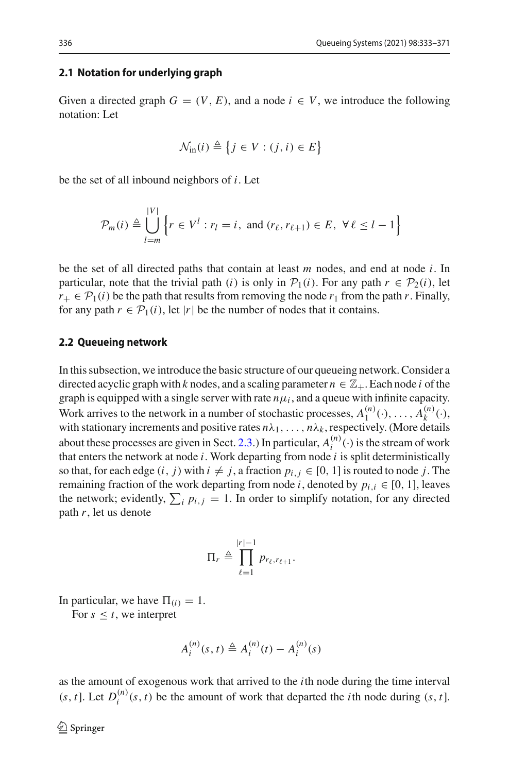#### **2.1 Notation for underlying graph**

Given a directed graph  $G = (V, E)$ , and a node  $i \in V$ , we introduce the following notation: Let

$$
\mathcal{N}_{\text{in}}(i) \triangleq \{ j \in V : (j, i) \in E \}
$$

be the set of all inbound neighbors of *i*. Let

|*V*|

$$
\mathcal{P}_m(i) \triangleq \bigcup_{l=m}^{|V|} \left\{ r \in V^l : r_l = i, \text{ and } (r_\ell, r_{\ell+1}) \in E, \ \forall \ell \leq l-1 \right\}
$$

be the set of all directed paths that contain at least *m* nodes, and end at node *i*. In particular, note that the trivial path (*i*) is only in  $P_1(i)$ . For any path  $r \in P_2(i)$ , let  $r_+ \in \mathcal{P}_1(i)$  be the path that results from removing the node  $r_1$  from the path *r*. Finally, for any path  $r \in \mathcal{P}_1(i)$ , let  $|r|$  be the number of nodes that it contains.

#### **2.2 Queueing network**

In this subsection, we introduce the basic structure of our queueing network. Consider a directed acyclic graph with *k* nodes, and a scaling parameter  $n \in \mathbb{Z}_+$ . Each node *i* of the graph is equipped with a single server with rate  $n\mu_i$ , and a queue with infinite capacity. Work arrives to the network in a number of stochastic processes,  $A_1^{(n)}(\cdot), \ldots, A_k^{(n)}(\cdot)$ , with stationary increments and positive rates  $n\lambda_1, \ldots, n\lambda_k$ , respectively. (More details about these processes are given in Sect. [2.3.](#page-5-0)) In particular,  $A_i^{(n)}(\cdot)$  is the stream of work that enters the network at node *i*. Work departing from node *i* is split deterministically so that, for each edge  $(i, j)$  with  $i \neq j$ , a fraction  $p_{i,j} \in [0, 1]$  is routed to node *j*. The remaining fraction of the work departing from node *i*, denoted by  $p_{i,i} \in [0, 1]$ , leaves the network; evidently,  $\sum_i p_{i,j} = 1$ . In order to simplify notation, for any directed path *r*, let us denote

$$
\Pi_r \triangleq \prod_{\ell=1}^{|r|-1} p_{r_\ell,r_{\ell+1}}.
$$

In particular, we have  $\Pi(i) = 1$ .

For  $s \leq t$ , we interpret

$$
A_i^{(n)}(s, t) \triangleq A_i^{(n)}(t) - A_i^{(n)}(s)
$$

as the amount of exogenous work that arrived to the *i*th node during the time interval (*s*, *t*). Let  $D_i^{(n)}(s, t)$  be the amount of work that departed the *i*th node during  $(s, t]$ .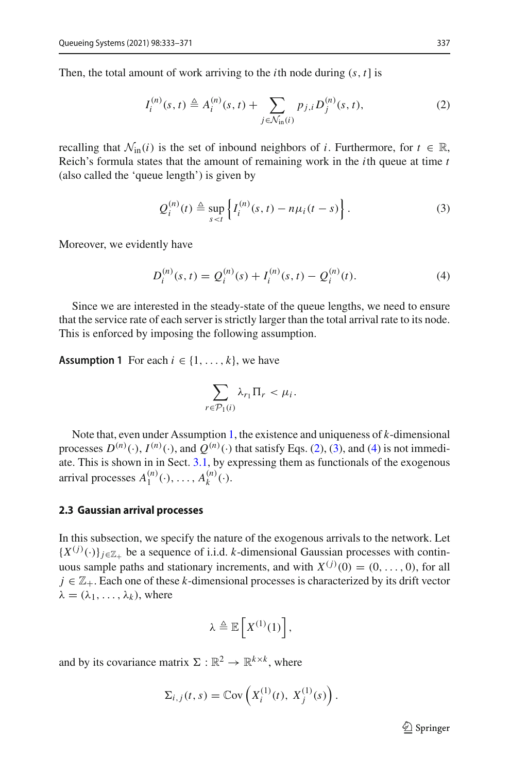Then, the total amount of work arriving to the *i*th node during (*s*, *t*] is

<span id="page-5-2"></span>
$$
I_i^{(n)}(s,t) \triangleq A_i^{(n)}(s,t) + \sum_{j \in \mathcal{N}_{\text{in}}(i)} p_{j,i} D_j^{(n)}(s,t),
$$
 (2)

recalling that  $\mathcal{N}_{in}(i)$  is the set of inbound neighbors of *i*. Furthermore, for  $t \in \mathbb{R}$ , Reich's formula states that the amount of remaining work in the *i*th queue at time *t* (also called the 'queue length') is given by

<span id="page-5-3"></span>
$$
Q_i^{(n)}(t) \triangleq \sup_{s < t} \left\{ I_i^{(n)}(s, t) - n\mu_i(t - s) \right\} . \tag{3}
$$

Moreover, we evidently have

$$
D_i^{(n)}(s,t) = Q_i^{(n)}(s) + I_i^{(n)}(s,t) - Q_i^{(n)}(t).
$$
\n(4)

Since we are interested in the steady-state of the queue lengths, we need to ensure that the service rate of each server is strictly larger than the total arrival rate to its node. This is enforced by imposing the following assumption.

<span id="page-5-1"></span>**Assumption 1** For each  $i \in \{1, ..., k\}$ , we have

<span id="page-5-4"></span>
$$
\sum_{r \in \mathcal{P}_1(i)} \lambda_{r_1} \Pi_r < \mu_i.
$$

Note that, even under Assumption [1,](#page-5-1) the existence and uniqueness of *k*-dimensional processes  $D^{(n)}(\cdot)$ ,  $I^{(n)}(\cdot)$ , and  $Q^{(n)}(\cdot)$  that satisfy Eqs. [\(2\)](#page-5-2), [\(3\)](#page-5-3), and [\(4\)](#page-5-4) is not immediate. This is shown in in Sect. [3.1,](#page-8-1) by expressing them as functionals of the exogenous arrival processes  $A_1^{(n)}(\cdot), \ldots, A_k^{(n)}(\cdot)$ .

#### <span id="page-5-0"></span>**2.3 Gaussian arrival processes**

In this subsection, we specify the nature of the exogenous arrivals to the network. Let  ${X^{(j)}(.)\}_{j \in \mathbb{Z}_+}$  be a sequence of i.i.d. *k*-dimensional Gaussian processes with continuous sample paths and stationary increments, and with  $X^{(j)}(0) = (0, \ldots, 0)$ , for all  $j \in \mathbb{Z}_+$ . Each one of these *k*-dimensional processes is characterized by its drift vector  $\lambda = (\lambda_1, \ldots, \lambda_k)$ , where

$$
\lambda \triangleq \mathbb{E}\left[X^{(1)}(1)\right],
$$

and by its covariance matrix  $\Sigma : \mathbb{R}^2 \to \mathbb{R}^{k \times k}$ , where

$$
\Sigma_{i,j}(t,s) = \mathbb{C}\mathrm{ov}\left(X_i^{(1)}(t), X_j^{(1)}(s)\right).
$$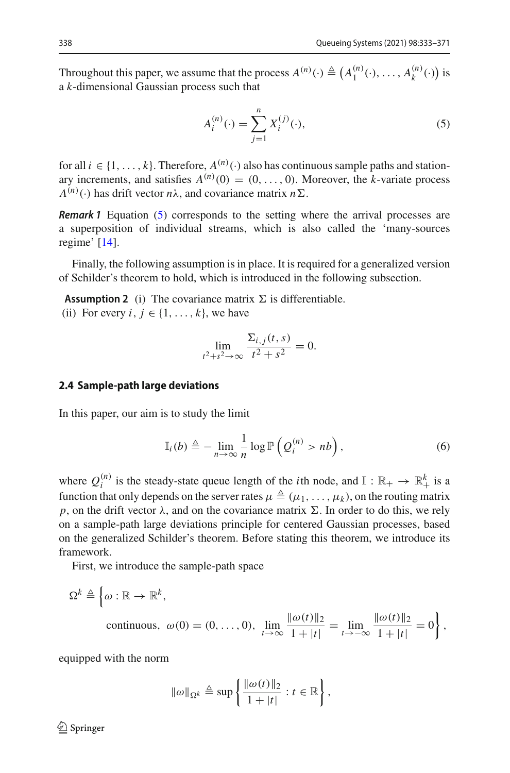Throughout this paper, we assume that the process  $A^{(n)}(\cdot) \triangleq (A_1^{(n)}(\cdot), \dots, A_k^{(n)}(\cdot))$  is a *k*-dimensional Gaussian process such that

<span id="page-6-0"></span>
$$
A_i^{(n)}(\cdot) = \sum_{j=1}^n X_i^{(j)}(\cdot),\tag{5}
$$

for all  $i \in \{1, ..., k\}$ . Therefore,  $A^{(n)}(.)$  also has continuous sample paths and stationary increments, and satisfies  $A^{(n)}(0) = (0, \ldots, 0)$ . Moreover, the *k*-variate process  $A^{(n)}(\cdot)$  has drift vector  $n\lambda$ , and covariance matrix  $n\Sigma$ .

*Remark 1* Equation [\(5\)](#page-6-0) corresponds to the setting where the arrival processes are a superposition of individual streams, which is also called the 'many-sources regime' [\[14](#page-38-12)].

<span id="page-6-1"></span>Finally, the following assumption is in place. It is required for a generalized version of Schilder's theorem to hold, which is introduced in the following subsection.

**Assumption 2** (i) The covariance matrix  $\Sigma$  is differentiable. (ii) For every  $i, j \in \{1, \ldots, k\}$ , we have

$$
\lim_{t^2+s^2\to\infty}\frac{\Sigma_{i,j}(t,s)}{t^2+s^2}=0.
$$

#### **2.4 Sample-path large deviations**

In this paper, our aim is to study the limit

<span id="page-6-2"></span>
$$
\mathbb{I}_i(b) \triangleq - \lim_{n \to \infty} \frac{1}{n} \log \mathbb{P}\left(Q_i^{(n)} > nb\right),\tag{6}
$$

where  $Q_i^{(n)}$  is the steady-state queue length of the *i*th node, and  $\mathbb{I}: \mathbb{R}_+ \to \mathbb{R}_+^k$  is a function that only depends on the server rates  $\mu \triangleq (\mu_1,\ldots,\mu_k)$ , on the routing matrix *p*, on the drift vector  $\lambda$ , and on the covariance matrix  $\Sigma$ . In order to do this, we rely on a sample-path large deviations principle for centered Gaussian processes, based on the generalized Schilder's theorem. Before stating this theorem, we introduce its framework.

First, we introduce the sample-path space

$$
\Omega^k \triangleq \left\{ \omega : \mathbb{R} \to \mathbb{R}^k, \n\text{ continuous, } \omega(0) = (0, \dots, 0), \lim_{t \to \infty} \frac{\|\omega(t)\|_2}{1 + |t|} = \lim_{t \to -\infty} \frac{\|\omega(t)\|_2}{1 + |t|} = 0 \right\},
$$

equipped with the norm

$$
\|\omega\|_{\Omega^k} \triangleq \sup \left\{ \frac{\|\omega(t)\|_2}{1+|t|} : t \in \mathbb{R} \right\},\
$$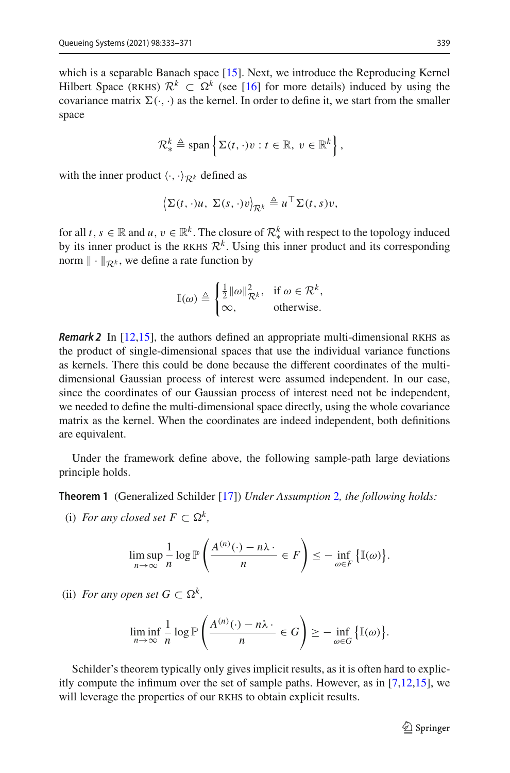which is a separable Banach space [\[15\]](#page-38-13). Next, we introduce the Reproducing Kernel Hilbert Space (RKHS)  $\mathcal{R}^k \subset \Omega^k$  (see [\[16\]](#page-39-0) for more details) induced by using the covariance matrix  $\Sigma(\cdot, \cdot)$  as the kernel. In order to define it, we start from the smaller space

$$
\mathcal{R}_{*}^{k} \triangleq \text{span}\left\{\Sigma(t,\cdot)v : t \in \mathbb{R}, v \in \mathbb{R}^{k}\right\},\
$$

with the inner product  $\langle \cdot, \cdot \rangle_{\mathcal{R}^k}$  defined as

$$
\left\langle \Sigma(t,\cdot)u,\ \Sigma(s,\cdot)v\right\rangle_{\mathcal{R}^k}\triangleq u^\top \Sigma(t,s)v,
$$

for all *t*,  $s \in \mathbb{R}$  and *u*,  $v \in \mathbb{R}^k$ . The closure of  $\mathcal{R}^k_*$  with respect to the topology induced by its inner product is the RKHS  $\mathcal{R}^k$ . Using this inner product and its corresponding norm  $\|\cdot\|_{\mathcal{R}^k}$ , we define a rate function by

$$
\mathbb{I}(\omega) \triangleq \begin{cases} \frac{1}{2} ||\omega||_{\mathcal{R}^k}^2, & \text{if } \omega \in \mathcal{R}^k, \\ \infty, & \text{otherwise.} \end{cases}
$$

*Remark 2* In [\[12](#page-38-10)[,15](#page-38-13)], the authors defined an appropriate multi-dimensional RKHS as the product of single-dimensional spaces that use the individual variance functions as kernels. There this could be done because the different coordinates of the multidimensional Gaussian process of interest were assumed independent. In our case, since the coordinates of our Gaussian process of interest need not be independent, we needed to define the multi-dimensional space directly, using the whole covariance matrix as the kernel. When the coordinates are indeed independent, both definitions are equivalent.

<span id="page-7-0"></span>Under the framework define above, the following sample-path large deviations principle holds.

**Theorem 1** (Generalized Schilder [\[17](#page-39-1)]) *Under Assumption* [2](#page-6-1)*, the following holds:*

(i) *For any closed set*  $F \subset \Omega^k$ ,

$$
\limsup_{n\to\infty}\frac{1}{n}\log\mathbb{P}\left(\frac{A^{(n)}(\cdot)-n\lambda}{n}\in F\right)\leq-\inf_{\omega\in F}\left\{\mathbb{I}(\omega)\right\}.
$$

(ii) *For any open set*  $G \subset \Omega^k$ ,

$$
\liminf_{n \to \infty} \frac{1}{n} \log \mathbb{P}\left(\frac{A^{(n)}(\cdot) - n\lambda}{n} \in G\right) \geq - \inf_{\omega \in G} \left\{\mathbb{I}(\omega)\right\}.
$$

Schilder's theorem typically only gives implicit results, as it is often hard to explicitly compute the infimum over the set of sample paths. However, as in [\[7](#page-38-4)[,12](#page-38-10)[,15\]](#page-38-13), we will leverage the properties of our RKHS to obtain explicit results.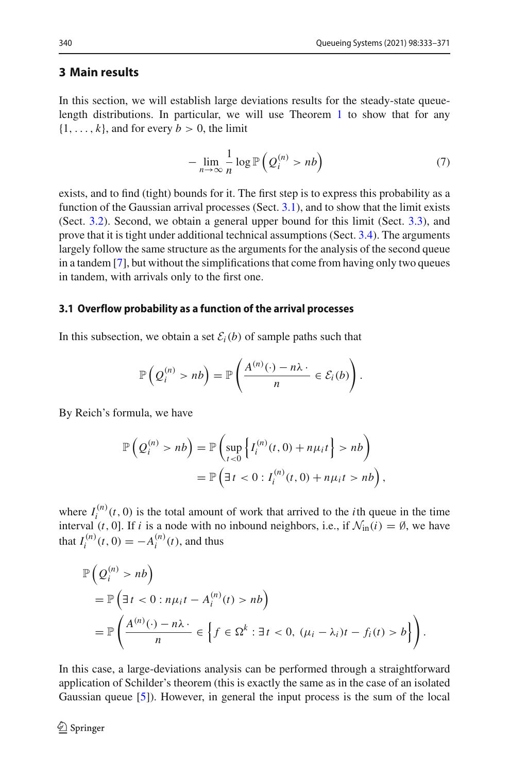### <span id="page-8-0"></span>**3 Main results**

In this section, we will establish large deviations results for the steady-state queuelength distributions. In particular, we will use Theorem [1](#page-7-0) to show that for any  $\{1, \ldots, k\}$ , and for every  $b > 0$ , the limit

$$
-\lim_{n\to\infty}\frac{1}{n}\log\mathbb{P}\left(Q_i^{(n)}>nb\right) \tag{7}
$$

exists, and to find (tight) bounds for it. The first step is to express this probability as a function of the Gaussian arrival processes (Sect. [3.1\)](#page-8-1), and to show that the limit exists (Sect. [3.2\)](#page-10-0). Second, we obtain a general upper bound for this limit (Sect. [3.3\)](#page-11-1), and prove that it is tight under additional technical assumptions (Sect. [3.4\)](#page-12-0). The arguments largely follow the same structure as the arguments for the analysis of the second queue in a tandem [\[7\]](#page-38-4), but without the simplifications that come from having only two queues in tandem, with arrivals only to the first one.

#### <span id="page-8-1"></span>**3.1 Overflow probability as a function of the arrival processes**

In this subsection, we obtain a set  $\mathcal{E}_i(b)$  of sample paths such that

$$
\mathbb{P}\left(Q_i^{(n)} > nb\right) = \mathbb{P}\left(\frac{A^{(n)}(\cdot) - n\lambda \cdot}{n} \in \mathcal{E}_i(b)\right).
$$

By Reich's formula, we have

$$
\mathbb{P}\left(Q_i^{(n)} > nb\right) = \mathbb{P}\left(\sup_{t<0} \left\{I_i^{(n)}(t,0) + n\mu_i t\right\} > nb\right)
$$

$$
= \mathbb{P}\left(\exists t < 0 : I_i^{(n)}(t,0) + n\mu_i t > nb\right),
$$

where  $I_i^{(n)}(t, 0)$  is the total amount of work that arrived to the *i*th queue in the time interval (*t*, 0]. If *i* is a node with no inbound neighbors, i.e., if  $\mathcal{N}_{in}(i) = \emptyset$ , we have that  $I_i^{(n)}(t, 0) = -A_i^{(n)}(t)$ , and thus

$$
\mathbb{P}\left(Q_i^{(n)} > nb\right)
$$
  
=  $\mathbb{P}\left(\exists t < 0 : n\mu_i t - A_i^{(n)}(t) > nb\right)$   
=  $\mathbb{P}\left(\frac{A^{(n)}(\cdot) - n\lambda \cdot}{n} \in \left\{f \in \Omega^k : \exists t < 0, (\mu_i - \lambda_i)t - f_i(t) > b\right\}\right).$ 

In this case, a large-deviations analysis can be performed through a straightforward application of Schilder's theorem (this is exactly the same as in the case of an isolated Gaussian queue [\[5](#page-38-9)]). However, in general the input process is the sum of the local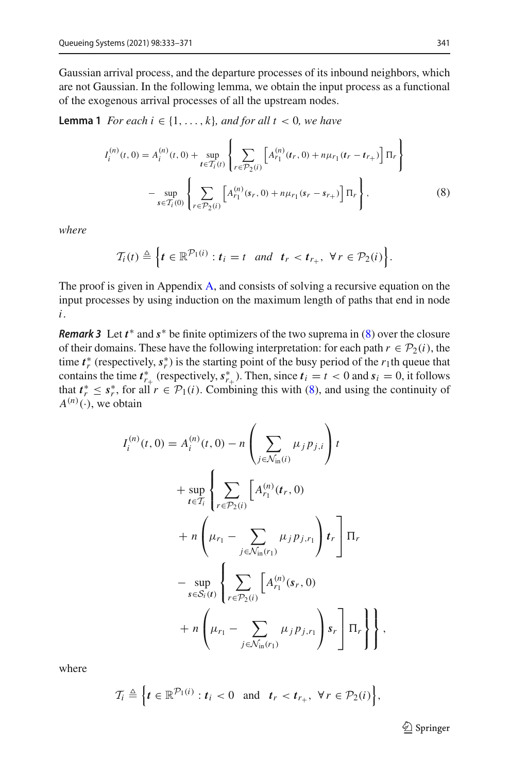Gaussian arrival process, and the departure processes of its inbound neighbors, which are not Gaussian. In the following lemma, we obtain the input process as a functional of the exogenous arrival processes of all the upstream nodes.

<span id="page-9-1"></span>**Lemma 1** *For each*  $i \in \{1, \ldots, k\}$ *, and for all*  $t < 0$ *, we have* 

$$
I_{i}^{(n)}(t,0) = A_{i}^{(n)}(t,0) + \sup_{t \in T_{i}(t)} \left\{ \sum_{r \in \mathcal{P}_{2}(i)} \left[ A_{r_{1}}^{(n)}(t_{r},0) + n\mu_{r_{1}}(t_{r} - t_{r_{+}}) \right] \Pi_{r} \right\}
$$

$$
- \sup_{s \in T_{i}(0)} \left\{ \sum_{r \in \mathcal{P}_{2}(i)} \left[ A_{r_{1}}^{(n)}(s_{r},0) + n\mu_{r_{1}}(s_{r} - s_{r_{+}}) \right] \Pi_{r} \right\},
$$
(8)

*where*

<span id="page-9-0"></span>
$$
\mathcal{T}_i(t) \triangleq \Big\{ t \in \mathbb{R}^{\mathcal{P}_1(i)} : t_i = t \quad \text{and} \quad t_r < t_{r_+}, \ \forall \, r \in \mathcal{P}_2(i) \Big\}.
$$

The proof is given in Appendix [A,](#page-17-1) and consists of solving a recursive equation on the input processes by using induction on the maximum length of paths that end in node *i*.

*Remark 3* Let  $t^*$  and  $s^*$  be finite optimizers of the two suprema in [\(8\)](#page-9-0) over the closure of their domains. These have the following interpretation: for each path  $r \in \mathcal{P}_2(i)$ , the time  $t_r^*$  (respectively,  $s_r^*$ ) is the starting point of the busy period of the *r*<sub>1</sub>th queue that contains the time  $t^*_{r+}$  (respectively,  $s^*_{r+}$ ). Then, since  $t_i = t < 0$  and  $s_i = 0$ , it follows that  $t^* \leq s^*$ , for all  $r \in \mathcal{P}_1(i)$ . Combining this with [\(8\)](#page-9-0), and using the continuity of  $A^{(n)}(\cdot)$ , we obtain

$$
I_i^{(n)}(t,0) = A_i^{(n)}(t,0) - n \left( \sum_{j \in \mathcal{N}_{\text{in}}(i)} \mu_j p_{j,i} \right) t + \sup_{t \in \mathcal{T}_i} \left\{ \sum_{r \in \mathcal{P}_2(i)} \left[ A_{r_1}^{(n)}(t_r, 0) \right. \right. + n \left( \mu_{r_1} - \sum_{j \in \mathcal{N}_{\text{in}}(r_1)} \mu_j p_{j,r_1} \right) t_r \right\} \Pi_r - \sup_{s \in S_i(t)} \left\{ \sum_{r \in \mathcal{P}_2(i)} \left[ A_{r_1}^{(n)}(s_r, 0) \right. + n \left( \mu_{r_1} - \sum_{j \in \mathcal{N}_{\text{in}}(r_1)} \mu_j p_{j,r_1} \right) s_r \right] \Pi_r \right\} \right\},
$$

where

$$
\mathcal{T}_i \triangleq \left\{ t \in \mathbb{R}^{\mathcal{P}_1(i)} : t_i < 0 \quad \text{and} \quad t_r < t_{r_+}, \ \forall \, r \in \mathcal{P}_2(i) \right\},
$$

 $\mathcal{D}$  Springer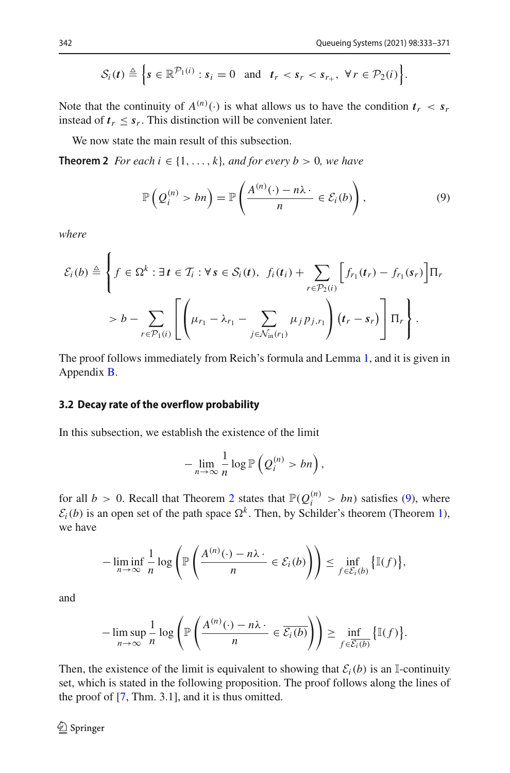$$
\mathcal{S}_i(t) \triangleq \left\{ s \in \mathbb{R}^{\mathcal{P}_1(i)} : s_i = 0 \text{ and } t_r < s_r < s_{r_+}, \ \forall r \in \mathcal{P}_2(i) \right\}.
$$

Note that the continuity of  $A^{(n)}(\cdot)$  is what allows us to have the condition  $t_r < s_r$ instead of  $t_r \leq s_r$ . This distinction will be convenient later.

<span id="page-10-1"></span>We now state the main result of this subsection.

**Theorem 2** *For each i*  $\in \{1, \ldots, k\}$ *, and for every b* > 0*, we have* 

<span id="page-10-2"></span>
$$
\mathbb{P}\left(Q_i^{(n)} > bn\right) = \mathbb{P}\left(\frac{A^{(n)}(\cdot) - n\lambda \cdot}{n} \in \mathcal{E}_i(b)\right),\tag{9}
$$

*where*

$$
\mathcal{E}_i(b) \triangleq \left\{ f \in \Omega^k : \exists t \in \mathcal{T}_i : \forall s \in \mathcal{S}_i(t), \ f_i(t_i) + \sum_{r \in \mathcal{P}_2(i)} \left[ f_{r_1}(t_r) - f_{r_1}(s_r) \right] \Pi_r \right\}
$$

$$
> b - \sum_{r \in \mathcal{P}_1(i)} \left[ \left( \mu_{r_1} - \lambda_{r_1} - \sum_{j \in \mathcal{N}_{\text{in}}(r_1)} \mu_j p_{j,r_1} \right) (t_r - s_r) \right] \Pi_r \right\}.
$$

The proof follows immediately from Reich's formula and Lemma [1,](#page-9-1) and it is given in Appendix [B.](#page-20-0)

#### <span id="page-10-0"></span>**3.2 Decay rate of the overflow probability**

In this subsection, we establish the existence of the limit

$$
-\lim_{n\to\infty}\frac{1}{n}\log\mathbb{P}\left(Q_i^{(n)}>bn\right),\,
$$

for all  $b > 0$ . Recall that Theorem [2](#page-10-1) states that  $\mathbb{P}(Q_i^{(n)} > bn)$  satisfies [\(9\)](#page-10-2), where  $E_i(b)$  is an open set of the path space  $\Omega^k$ . Then, by Schilder's theorem (Theorem [1\)](#page-7-0), we have

$$
-\liminf_{n\to\infty}\frac{1}{n}\log\left(\mathbb{P}\left(\frac{A^{(n)}(\cdot)-n\lambda\cdot}{n}\in\mathcal{E}_i(b)\right)\right)\leq\inf_{f\in\mathcal{E}_i(b)}\left\{\mathbb{I}(f)\right\},\right)
$$

and

$$
-\limsup_{n\to\infty}\frac{1}{n}\log\left(\mathbb{P}\left(\frac{A^{(n)}(\cdot)-n\lambda\cdot}{n}\in\overline{\mathcal{E}_i(b)}\right)\right)\geq\inf_{f\in\overline{\mathcal{E}_i(b)}}\left\{\mathbb{I}(f)\right\}.
$$

<span id="page-10-3"></span>Then, the existence of the limit is equivalent to showing that  $\mathcal{E}_i(b)$  is an I-continuity set, which is stated in the following proposition. The proof follows along the lines of the proof of [\[7,](#page-38-4) Thm. 3.1], and it is thus omitted.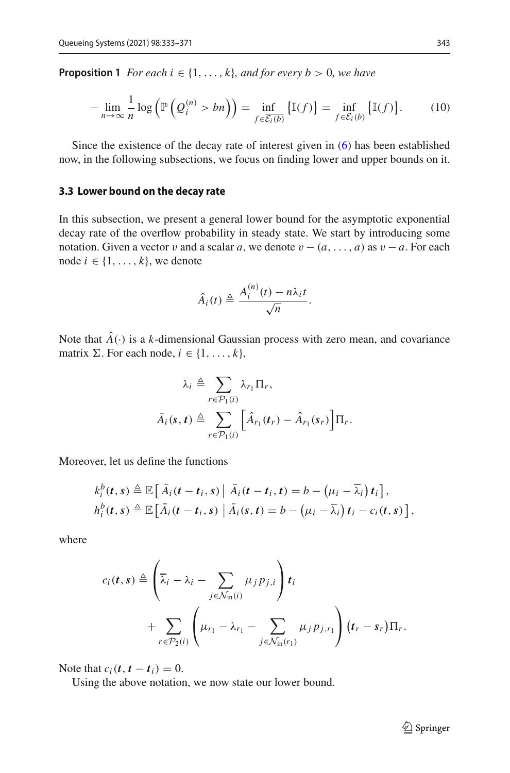**Proposition 1** *For each i*  $\in \{1, \ldots, k\}$ *, and for every b* > 0*, we have* 

$$
-\lim_{n\to\infty}\frac{1}{n}\log\left(\mathbb{P}\left(Q_i^{(n)} > bn\right)\right) = \inf_{f\in\overline{\mathcal{E}_i(b)}}\left\{\mathbb{I}(f)\right\} = \inf_{f\in\mathcal{E}_i(b)}\left\{\mathbb{I}(f)\right\}.\tag{10}
$$

Since the existence of the decay rate of interest given in [\(6\)](#page-6-2) has been established now, in the following subsections, we focus on finding lower and upper bounds on it.

#### <span id="page-11-1"></span>**3.3 Lower bound on the decay rate**

In this subsection, we present a general lower bound for the asymptotic exponential decay rate of the overflow probability in steady state. We start by introducing some notation. Given a vector v and a scalar *a*, we denote  $v - (a, \ldots, a)$  as  $v - a$ . For each node  $i \in \{1, \ldots, k\}$ , we denote

$$
\hat{A}_i(t) \triangleq \frac{A_i^{(n)}(t) - n\lambda_i t}{\sqrt{n}}.
$$

Note that  $\hat{A}(\cdot)$  is a *k*-dimensional Gaussian process with zero mean, and covariance matrix  $\Sigma$ . For each node,  $i \in \{1, \ldots, k\}$ ,

$$
\overline{\lambda}_{i} \triangleq \sum_{r \in \mathcal{P}_1(i)} \lambda_{r_1} \Pi_r,
$$
  

$$
\overline{A}_i(s,t) \triangleq \sum_{r \in \mathcal{P}_1(i)} \left[ \hat{A}_{r_1}(t_r) - \hat{A}_{r_1}(s_r) \right] \Pi_r.
$$

Moreover, let us define the functions

$$
k_i^b(t,s) \triangleq \mathbb{E}\left[\bar{A}_i(t-t_i,s) | \bar{A}_i(t-t_i,t) = b - (\mu_i - \bar{\lambda}_i) t_i\right],
$$
  
\n
$$
h_i^b(t,s) \triangleq \mathbb{E}\left[\bar{A}_i(t-t_i,s) | \bar{A}_i(s,t) = b - (\mu_i - \bar{\lambda}_i) t_i - c_i(t,s)\right],
$$

where

$$
c_i(t,s) \triangleq \left(\overline{\lambda}_i - \lambda_i - \sum_{j \in \mathcal{N}_{\text{in}}(i)} \mu_j p_{j,i}\right) t_i
$$
  
+ 
$$
\sum_{r \in \mathcal{P}_2(i)} \left( \mu_{r_1} - \lambda_{r_1} - \sum_{j \in \mathcal{N}_{\text{in}}(r_1)} \mu_j p_{j,r_1} \right) (t_r - s_r) \Pi_r.
$$

Note that  $c_i(t, t - t_i) = 0$ .

<span id="page-11-0"></span>Using the above notation, we now state our lower bound.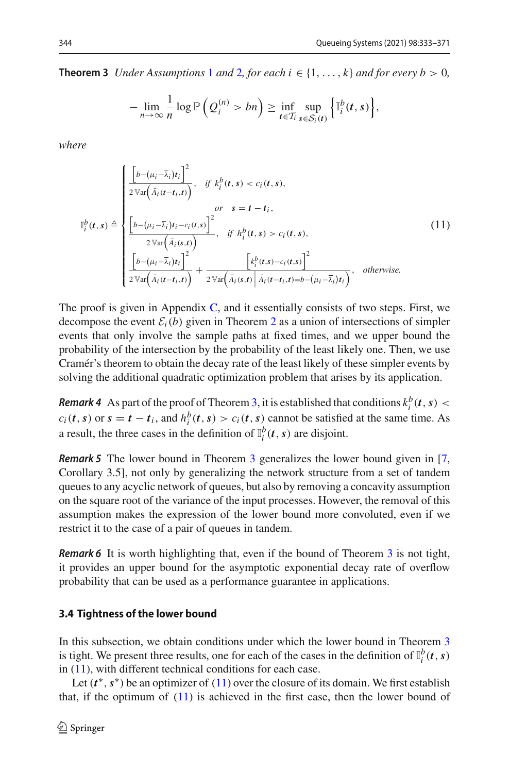#### **Theorem 3** *Under Assumptions* [1](#page-5-1) *and* [2](#page-6-1), *for each*  $i \in \{1, ..., k\}$  *and for every b* > 0*,*

$$
-\lim_{n\to\infty}\frac{1}{n}\log\mathbb{P}\left(Q_i^{(n)}>bn\right)\geq \inf_{t\in\mathcal{T}_i}\sup_{s\in\mathcal{S}_i(t)}\left\{\mathbb{I}_i^b(t,s)\right\},\,
$$

*where*

<span id="page-12-1"></span>
$$
\mathbb{I}_{i}^{b}(t,s) \triangleq \begin{cases}\n\frac{\left[b-(\mu_{i}-\overline{\lambda}_{i})t_{i}\right]^{2}}{2\mathbb{V}\text{ar}\left(\overline{A}_{i}(t-t_{i},t)\right)}, & \text{if } k_{i}^{b}(t,s) < c_{i}(t,s), \\
or & s=t-t_{i}, \\
\frac{\left[b-(\mu_{i}-\overline{\lambda}_{i})t_{i}-c_{i}(t,s)\right]^{2}}{2\mathbb{V}\text{ar}\left(\overline{A}_{i}(s,t)\right)}, & \text{if } h_{i}^{b}(t,s) > c_{i}(t,s), \\
\frac{\left[b-(\mu_{i}-\overline{\lambda}_{i})t_{i}\right]^{2}}{2\mathbb{V}\text{ar}\left(\overline{A}_{i}(t-t_{i},t)\right)} + \frac{\left[k_{i}^{b}(t,s)-c_{i}(t,s)\right]^{2}}{2\mathbb{V}\text{ar}\left(\overline{A}_{i}(s,t)\right)\left[\overline{A}_{i}(t-t_{i},t)\right]=b-(\mu_{i}-\overline{\lambda}_{i})t_{i}}, & \text{otherwise.} \n\end{cases} \tag{11}
$$

The proof is given in Appendix [C,](#page-23-0) and it essentially consists of two steps. First, we decompose the event  $\mathcal{E}_i(b)$  given in Theorem [2](#page-10-1) as a union of intersections of simpler events that only involve the sample paths at fixed times, and we upper bound the probability of the intersection by the probability of the least likely one. Then, we use Cramér's theorem to obtain the decay rate of the least likely of these simpler events by solving the additional quadratic optimization problem that arises by its application.

*Remark 4* As part of the proof of Theorem [3,](#page-11-0) it is established that conditions  $k_i^b(t, s)$  <  $c_i(t, s)$  or  $s = t - t_i$ , and  $h_i^b(t, s) > c_i(t, s)$  cannot be satisfied at the same time. As a result, the three cases in the definition of  $\mathbb{I}_i^b(t, s)$  are disjoint.

*Remark 5* The lower bound in Theorem [3](#page-11-0) generalizes the lower bound given in [\[7,](#page-38-4) Corollary 3.5], not only by generalizing the network structure from a set of tandem queues to any acyclic network of queues, but also by removing a concavity assumption on the square root of the variance of the input processes. However, the removal of this assumption makes the expression of the lower bound more convoluted, even if we restrict it to the case of a pair of queues in tandem.

*Remark 6* It is worth highlighting that, even if the bound of Theorem [3](#page-11-0) is not tight, it provides an upper bound for the asymptotic exponential decay rate of overflow probability that can be used as a performance guarantee in applications.

#### <span id="page-12-0"></span>**3.4 Tightness of the lower bound**

In this subsection, we obtain conditions under which the lower bound in Theorem [3](#page-11-0) is tight. We present three results, one for each of the cases in the definition of  $\mathbb{I}_i^b(t, s)$ in [\(11\)](#page-12-1), with different technical conditions for each case.

Let  $(t^*, s^*)$  be an optimizer of [\(11\)](#page-12-1) over the closure of its domain. We first establish that, if the optimum of [\(11\)](#page-12-1) is achieved in the first case, then the lower bound of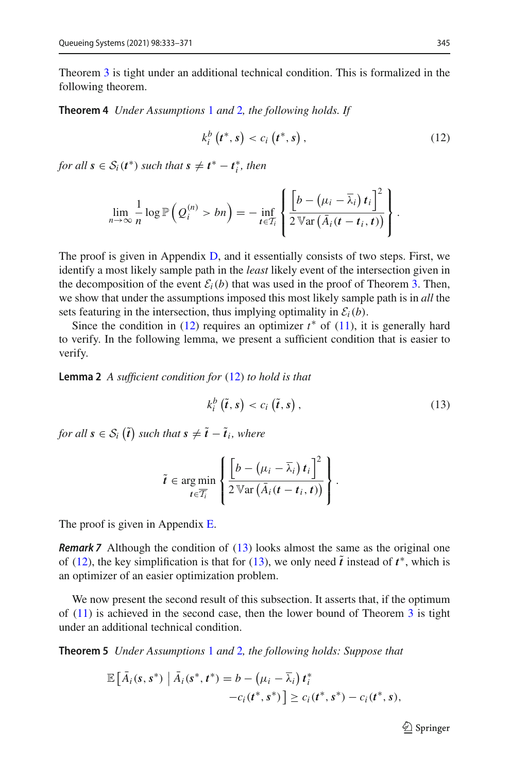<span id="page-13-0"></span>Theorem [3](#page-11-0) is tight under an additional technical condition. This is formalized in the following theorem.

**Theorem 4** *Under Assumptions* [1](#page-5-1) *and* [2](#page-6-1)*, the following holds. If*

<span id="page-13-2"></span>
$$
k_i^b(t^*, s) < c_i(t^*, s) \,, \tag{12}
$$

*for all*  $s \in S_i(t^*)$  *such that*  $s \neq t^* - t_i^*$ *, then* 

$$
\lim_{n\to\infty}\frac{1}{n}\log\mathbb{P}\left(Q_i^{(n)}>bn\right)=-\inf_{t\in\mathcal{I}_i}\left\{\frac{\left[b-\left(\mu_i-\overline{\lambda}_i\right)t_i\right]^2}{2\mathbb{V}\text{ar}\left(\overline{A}_i(t-t_i,t)\right)}\right\}.
$$

The proof is given in Appendix [D,](#page-30-0) and it essentially consists of two steps. First, we identify a most likely sample path in the *least* likely event of the intersection given in the decomposition of the event  $\mathcal{E}_i(b)$  that was used in the proof of Theorem [3.](#page-11-0) Then, we show that under the assumptions imposed this most likely sample path is in *all* the sets featuring in the intersection, thus implying optimality in  $\mathcal{E}_i(b)$ .

Since the condition in  $(12)$  requires an optimizer  $t^*$  of  $(11)$ , it is generally hard to verify. In the following lemma, we present a sufficient condition that is easier to verify.

<span id="page-13-4"></span>**Lemma 2** *A sufficient condition for* [\(12\)](#page-13-2) *to hold is that*

<span id="page-13-3"></span>
$$
k_i^b(\tilde{t},s) < c_i(\tilde{t},s) \,, \tag{13}
$$

*for all*  $s \in S_i$  ( $\tilde{t}$ ) such that  $s \neq \tilde{t} - \tilde{t}_i$ , where

$$
\tilde{t} \in \underset{t \in \overline{T_i}}{\arg \min} \left\{ \frac{\left[b - \left(\mu_i - \overline{\lambda}_i\right)t_i\right]^2}{2 \operatorname{Var}\left(\overline{A}_i(t - t_i, t)\right)}\right\}.
$$

The proof is given in Appendix [E.](#page-32-0)

*Remark 7* Although the condition of [\(13\)](#page-13-3) looks almost the same as the original one of [\(12\)](#page-13-2), the key simplification is that for [\(13\)](#page-13-3), we only need  $\tilde{t}$  instead of  $t^*$ , which is an optimizer of an easier optimization problem.

We now present the second result of this subsection. It asserts that, if the optimum of  $(11)$  is achieved in the second case, then the lower bound of Theorem [3](#page-11-0) is tight under an additional technical condition.

<span id="page-13-1"></span>**Theorem 5** *Under Assumptions* [1](#page-5-1) *and* [2](#page-6-1)*, the following holds: Suppose that*

$$
\mathbb{E}\left[\bar{A}_i(s,s^*)\middle|\bar{A}_i(s^*,t^*)=b-\left(\mu_i-\bar{\lambda}_i\right)t_i^* -c_i(t^*,s^*)\right]\geq c_i(t^*,s^*)-c_i(t^*,s),
$$

 $\mathcal{D}$  Springer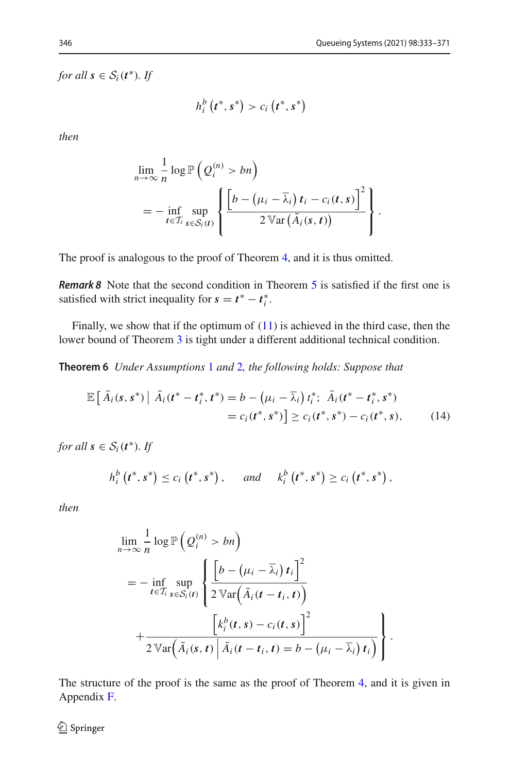*for all*  $s \in S_i(t^*)$ *. If* 

$$
h_i^b(t^*,s^*) > c_i(t^*,s^*)
$$

*then*

$$
\lim_{n \to \infty} \frac{1}{n} \log \mathbb{P}\left(Q_i^{(n)} > bn\right)
$$
\n
$$
= - \inf_{t \in \mathcal{T}_i} \sup_{s \in \mathcal{S}_i(t)} \left\{ \frac{\left[b - \left(\mu_i - \overline{\lambda}_i\right)t_i - c_i(t, s)\right]^2}{2 \operatorname{Var}\left(\overline{A}_i(s, t)\right)}\right\}.
$$

The proof is analogous to the proof of Theorem [4,](#page-13-0) and it is thus omitted.

*Remark 8* Note that the second condition in Theorem [5](#page-13-1) is satisfied if the first one is satisfied with strict inequality for  $s = t^* - t_i^*$ .

<span id="page-14-0"></span>Finally, we show that if the optimum of  $(11)$  is achieved in the third case, then the lower bound of Theorem [3](#page-11-0) is tight under a different additional technical condition.

**Theorem 6** *Under Assumptions* [1](#page-5-1) *and* [2](#page-6-1)*, the following holds: Suppose that*

$$
\mathbb{E}\left[\bar{A}_{i}(s,s^{*})\,\big|\,\bar{A}_{i}(t^{*}-t_{i}^{*},t^{*})=b-\left(\mu_{i}-\bar{\lambda}_{i}\right)t_{i}^{*};\,\,\bar{A}_{i}(t^{*}-t_{i}^{*},s^{*})\right] = c_{i}(t^{*},s^{*})\right] \geq c_{i}(t^{*},s^{*})-c_{i}(t^{*},s),\qquad(14)
$$

*for all*  $s \in S_i(t^*)$ *. If* 

<span id="page-14-1"></span>
$$
h_i^b(t^*, s^*) \le c_i(t^*, s^*)
$$
, and  $k_i^b(t^*, s^*) \ge c_i(t^*, s^*)$ ,

*then*

$$
\lim_{n \to \infty} \frac{1}{n} \log \mathbb{P}\left(Q_i^{(n)} > bn\right)
$$
\n
$$
= - \inf_{t \in \mathcal{I}_i} \sup_{s \in S_i(t)} \left\{ \frac{\left[b - \left(\mu_i - \overline{\lambda}_i\right)t_i\right]^2}{2 \operatorname{Var}\left(\overline{A}_i(t - t_i, t)\right)} + \frac{\left[k_i^b(t, s) - c_i(t, s)\right]^2}{2 \operatorname{Var}\left(\overline{A}_i(s, t) \middle| \overline{A}_i(t - t_i, t) = b - \left(\mu_i - \overline{\lambda}_i\right)t_i\right)} \right\}.
$$

The structure of the proof is the same as the proof of Theorem [4,](#page-13-0) and it is given in Appendix [F.](#page-33-0)

 $\textcircled{2}$  Springer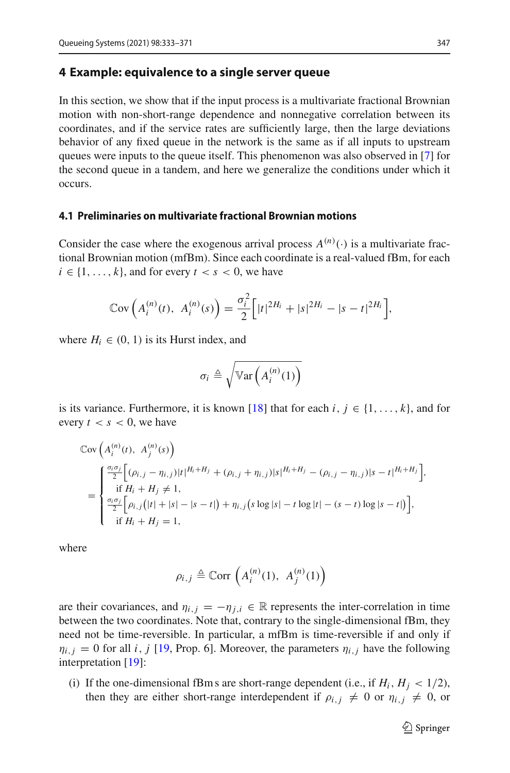#### <span id="page-15-0"></span>**4 Example: equivalence to a single server queue**

In this section, we show that if the input process is a multivariate fractional Brownian motion with non-short-range dependence and nonnegative correlation between its coordinates, and if the service rates are sufficiently large, then the large deviations behavior of any fixed queue in the network is the same as if all inputs to upstream queues were inputs to the queue itself. This phenomenon was also observed in [\[7\]](#page-38-4) for the second queue in a tandem, and here we generalize the conditions under which it occurs.

#### **4.1 Preliminaries on multivariate fractional Brownian motions**

Consider the case where the exogenous arrival process  $A^{(n)}(\cdot)$  is a multivariate fractional Brownian motion (mfBm). Since each coordinate is a real-valued fBm, for each  $i \in \{1, \ldots, k\}$ , and for every  $t < s < 0$ , we have

$$
Cov\left(A_i^{(n)}(t), A_i^{(n)}(s)\right) = \frac{\sigma_i^2}{2}\Big[|t|^{2H_i} + |s|^{2H_i} - |s - t|^{2H_i}\Big],
$$

where  $H_i \in (0, 1)$  is its Hurst index, and

$$
\sigma_i \triangleq \sqrt{\mathbb{V}\text{ar}\left(A_i^{(n)}(1)\right)}
$$

is its variance. Furthermore, it is known [\[18](#page-39-2)] that for each *i*,  $j \in \{1, \ldots, k\}$ , and for every  $t < s < 0$ , we have

$$
\begin{split} &\mathbb{C}\text{ov}\left(A_i^{(n)}(t),\ A_j^{(n)}(s)\right) \\ &= \begin{cases} \frac{\sigma_i \sigma_j}{2} \Big[ (\rho_{i,j} - \eta_{i,j}) |t|^{H_i + H_j} + (\rho_{i,j} + \eta_{i,j}) |s|^{H_i + H_j} - (\rho_{i,j} - \eta_{i,j}) |s - t|^{H_i + H_j} \Big], \\ &\text{if } H_i + H_j \neq 1, \\ &\frac{\sigma_i \sigma_j}{2} \Big[ \rho_{i,j} \big( |t| + |s| - |s - t| \big) + \eta_{i,j} \big( s \log |s| - t \log |t| - (s - t) \log |s - t| \big) \Big], \\ &\text{if } H_i + H_j = 1, \end{cases} \end{split}
$$

where

$$
\rho_{i,j} \triangleq \operatorname{Corr}\left(A_i^{(n)}(1), A_j^{(n)}(1)\right)
$$

are their covariances, and  $\eta_{i,j} = -\eta_{j,i} \in \mathbb{R}$  represents the inter-correlation in time between the two coordinates. Note that, contrary to the single-dimensional fBm, they need not be time-reversible. In particular, a mfBm is time-reversible if and only if  $\eta_{i,j} = 0$  for all *i*, *j* [\[19](#page-39-3), Prop. 6]. Moreover, the parameters  $\eta_{i,j}$  have the following interpretation [\[19](#page-39-3)]:

(i) If the one-dimensional fBm s are short-range dependent (i.e., if  $H_i$ ,  $H_j < 1/2$ ), then they are either short-range interdependent if  $\rho_{i,j} \neq 0$  or  $\eta_{i,j} \neq 0$ , or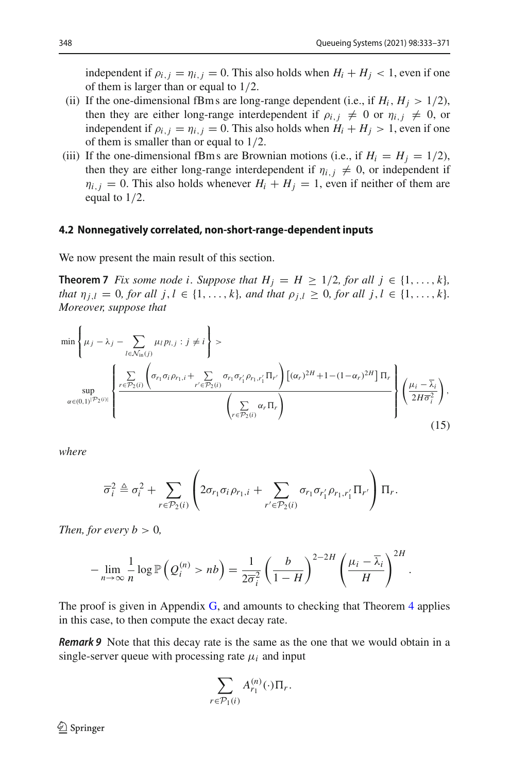<span id="page-16-1"></span>.

independent if  $\rho_{i,j} = \eta_{i,j} = 0$ . This also holds when  $H_i + H_j < 1$ , even if one of them is larger than or equal to 1/2.

- (ii) If the one-dimensional fBm s are long-range dependent (i.e., if  $H_i$ ,  $H_j > 1/2$ ), then they are either long-range interdependent if  $\rho_{i,j} \neq 0$  or  $\eta_{i,j} \neq 0$ , or independent if  $\rho_{i,j} = \eta_{i,j} = 0$ . This also holds when  $H_i + H_j > 1$ , even if one of them is smaller than or equal to 1/2.
- (iii) If the one-dimensional fBm s are Brownian motions (i.e., if  $H_i = H_j = 1/2$ ), then they are either long-range interdependent if  $\eta_{i,j} \neq 0$ , or independent if  $\eta_{i,j} = 0$ . This also holds whenever  $H_i + H_j = 1$ , even if neither of them are equal to 1/2.

#### **4.2 Nonnegatively correlated, non-short-range-dependent inputs**

<span id="page-16-0"></span>We now present the main result of this section.

**Theorem 7** *Fix some node i. Suppose that*  $H_i = H \geq 1/2$ *, for all*  $j \in \{1, \ldots, k\}$ *, that*  $\eta_{i,l} = 0$ *, for all j, l* ∈ {1, ..., *k*}*, and that*  $\rho_{i,l} \ge 0$ *, for all j, l* ∈ {1, ..., *k*}*. Moreover, suppose that*

$$
\min\left\{\mu_j - \lambda_j - \sum_{l \in \mathcal{N}_{\text{in}}(j)} \mu_l p_{l,j} : j \neq i\right\} > \sum_{\alpha \in (\mathbf{0},1)^{|\mathcal{P}_2(i)|}} \left\{\frac{\sum\limits_{r \in \mathcal{P}_2(i)} \left(\sigma_{r_1} \sigma_i \rho_{r_1,i} + \sum\limits_{r' \in \mathcal{P}_2(i)} \sigma_{r_1} \sigma_{r'_1} \rho_{r_1,r'_1} \Pi_{r'}\right) \left[ (\alpha_r)^{2H} + 1 - (1 - \alpha_r)^{2H} \right] \Pi_r}{\left(\sum\limits_{r \in \mathcal{P}_2(i)} \alpha_r \Pi_r\right)} \right\} \left(\frac{\mu_i - \overline{\lambda}_i}{2H\overline{\sigma}_i^2}\right),
$$
\n(15)

*where*

$$
\overline{\sigma}_i^2 \triangleq \sigma_i^2 + \sum_{r \in \mathcal{P}_2(i)} \left( 2\sigma_{r_1}\sigma_i\rho_{r_1,i} + \sum_{r' \in \mathcal{P}_2(i)} \sigma_{r_1}\sigma_{r'_1}\rho_{r_1,r'_1} \Pi_{r'} \right) \Pi_r.
$$

*Then, for every b*  $> 0$ *,* 

$$
-\lim_{n\to\infty}\frac{1}{n}\log\mathbb{P}\left(Q_i^{(n)}>nb\right)=\frac{1}{2\overline{\sigma}_i^2}\left(\frac{b}{1-H}\right)^{2-2H}\left(\frac{\mu_i-\overline{\lambda}_i}{H}\right)^{2H}
$$

The proof is given in Appendix [G,](#page-35-0) and amounts to checking that Theorem [4](#page-13-0) applies in this case, to then compute the exact decay rate.

*Remark 9* Note that this decay rate is the same as the one that we would obtain in a single-server queue with processing rate  $\mu_i$  and input

$$
\sum_{r \in \mathcal{P}_1(i)} A_{r_1}^{(n)}(\cdot) \Pi_r.
$$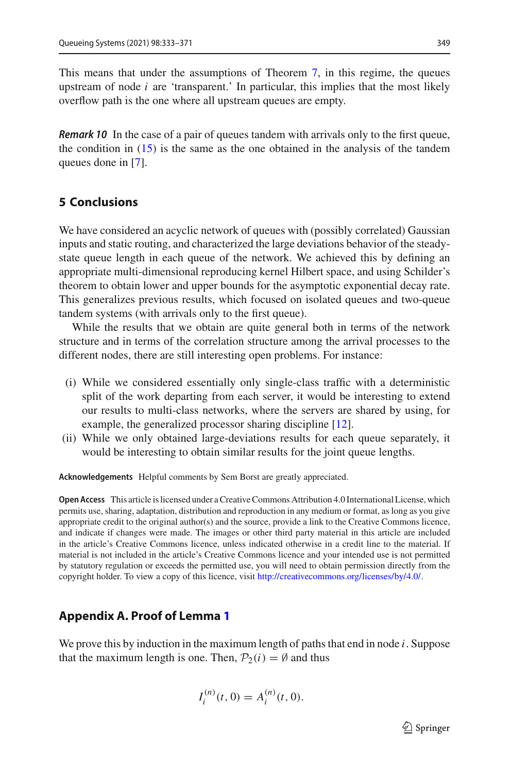This means that under the assumptions of Theorem [7,](#page-16-0) in this regime, the queues upstream of node  $i$  are 'transparent.' In particular, this implies that the most likely overflow path is the one where all upstream queues are empty.

*Remark 10* In the case of a pair of queues tandem with arrivals only to the first queue, the condition in  $(15)$  is the same as the one obtained in the analysis of the tandem queues done in [\[7](#page-38-4)].

## <span id="page-17-0"></span>**5 Conclusions**

We have considered an acyclic network of queues with (possibly correlated) Gaussian inputs and static routing, and characterized the large deviations behavior of the steadystate queue length in each queue of the network. We achieved this by defining an appropriate multi-dimensional reproducing kernel Hilbert space, and using Schilder's theorem to obtain lower and upper bounds for the asymptotic exponential decay rate. This generalizes previous results, which focused on isolated queues and two-queue tandem systems (with arrivals only to the first queue).

While the results that we obtain are quite general both in terms of the network structure and in terms of the correlation structure among the arrival processes to the different nodes, there are still interesting open problems. For instance:

- (i) While we considered essentially only single-class traffic with a deterministic split of the work departing from each server, it would be interesting to extend our results to multi-class networks, where the servers are shared by using, for example, the generalized processor sharing discipline [\[12](#page-38-10)].
- (ii) While we only obtained large-deviations results for each queue separately, it would be interesting to obtain similar results for the joint queue lengths.

**Acknowledgements** Helpful comments by Sem Borst are greatly appreciated.

**Open Access** This article is licensed under a Creative Commons Attribution 4.0 International License, which permits use, sharing, adaptation, distribution and reproduction in any medium or format, as long as you give appropriate credit to the original author(s) and the source, provide a link to the Creative Commons licence, and indicate if changes were made. The images or other third party material in this article are included in the article's Creative Commons licence, unless indicated otherwise in a credit line to the material. If material is not included in the article's Creative Commons licence and your intended use is not permitted by statutory regulation or exceeds the permitted use, you will need to obtain permission directly from the copyright holder. To view a copy of this licence, visit [http://creativecommons.org/licenses/by/4.0/.](http://creativecommons.org/licenses/by/4.0/)

### <span id="page-17-1"></span>**Appendix A. Proof of Lemma [1](#page-9-1)**

We prove this by induction in the maximum length of paths that end in node *i*. Suppose that the maximum length is one. Then,  $P_2(i) = \emptyset$  and thus

$$
I_i^{(n)}(t,0) = A_i^{(n)}(t,0).
$$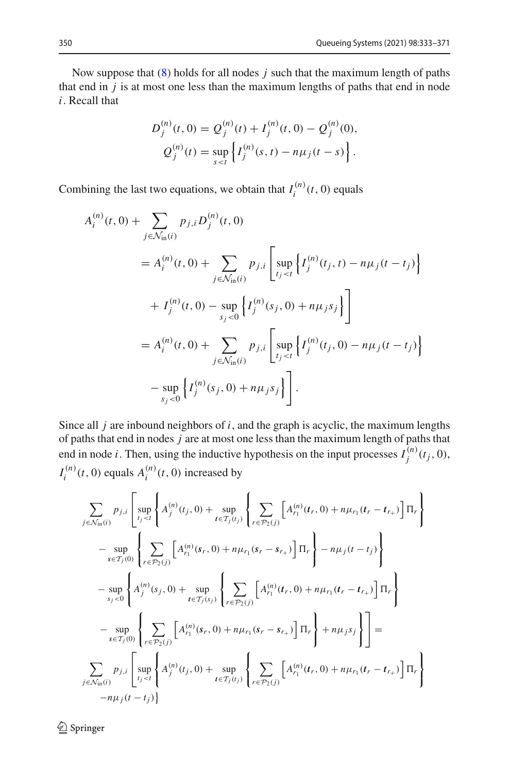Now suppose that [\(8\)](#page-9-0) holds for all nodes *j* such that the maximum length of paths that end in  $j$  is at most one less than the maximum lengths of paths that end in node *i*. Recall that

$$
D_j^{(n)}(t,0) = Q_j^{(n)}(t) + I_j^{(n)}(t,0) - Q_j^{(n)}(0),
$$
  

$$
Q_j^{(n)}(t) = \sup_{s \le t} \left\{ I_j^{(n)}(s,t) - n\mu_j(t-s) \right\}.
$$

Combining the last two equations, we obtain that  $I_i^{(n)}(t, 0)$  equals

$$
A_i^{(n)}(t,0) + \sum_{j \in \mathcal{N}_{\text{in}}(i)} p_{j,i} D_j^{(n)}(t,0)
$$
  
=  $A_i^{(n)}(t,0) + \sum_{j \in \mathcal{N}_{\text{in}}(i)} p_{j,i} \left[ \sup_{t_j < t} \left\{ I_j^{(n)}(t_j, t) - n\mu_j(t - t_j) \right\} + I_j^{(n)}(t,0) - \sup_{s_j < 0} \left\{ I_j^{(n)}(s_j, 0) + n\mu_j s_j \right\} \right]$   
=  $A_i^{(n)}(t,0) + \sum_{j \in \mathcal{N}_{\text{in}}(i)} p_{j,i} \left[ \sup_{t_j < t} \left\{ I_j^{(n)}(t_j, 0) - n\mu_j(t - t_j) \right\} - \sup_{s_j < 0} \left\{ I_j^{(n)}(s_j, 0) + n\mu_j s_j \right\} \right].$ 

Since all *j* are inbound neighbors of *i*, and the graph is acyclic, the maximum lengths of paths that end in nodes *j* are at most one less than the maximum length of paths that end in node *i*. Then, using the inductive hypothesis on the input processes  $I_j^{(n)}(t_j, 0)$ ,  $I_i^{(n)}(t, 0)$  equals  $A_i^{(n)}(t, 0)$  increased by

$$
\sum_{j \in \mathcal{N}_{\text{in}}(i)} p_{j,i} \left[ \sup_{t_j < t} \left\{ A_j^{(n)}(t_j, 0) + \sup_{t \in \mathcal{T}_j(t_j)} \left\{ \sum_{r \in \mathcal{P}_2(j)} \left[ A_{r_1}^{(n)}(t_r, 0) + n \mu_{r_1}(t_r - t_{r_+}) \right] \Pi_r \right\} \right. \\
\left. - \sup_{s \in \mathcal{T}_j(0)} \left\{ \sum_{r \in \mathcal{P}_2(j)} \left[ A_{r_1}^{(n)}(s_r, 0) + n \mu_{r_1}(s_r - s_{r_+}) \right] \Pi_r \right\} - n \mu_j(t - t_j) \right\} \\
\left. - \sup_{s_j < 0} \left\{ A_j^{(n)}(s_j, 0) + \sup_{t \in \mathcal{T}_j(s_j)} \left\{ \sum_{r \in \mathcal{P}_2(j)} \left[ A_{r_1}^{(n)}(t_r, 0) + n \mu_{r_1}(t_r - t_{r_+}) \right] \Pi_r \right\} \right. \\
\left. - \sup_{s \in \mathcal{T}_j(0)} \left\{ \sum_{r \in \mathcal{P}_2(j)} \left[ A_{r_1}^{(n)}(s_r, 0) + n \mu_{r_1}(s_r - s_{r_+}) \right] \Pi_r \right\} + n \mu_j s_j \right\} \right] = \\
\sum_{j \in \mathcal{N}_{\text{in}}(i)} p_{j,i} \left[ \sup_{t_j < t} \left\{ A_j^{(n)}(t_j, 0) + \sup_{t \in \mathcal{T}_j(t_j)} \left\{ \sum_{r \in \mathcal{P}_2(j)} \left[ A_{r_1}^{(n)}(t_r, 0) + n \mu_{r_1}(t_r - t_{r_+}) \right] \Pi_r \right\} - n \mu_j(t - t_j) \right\} \right]
$$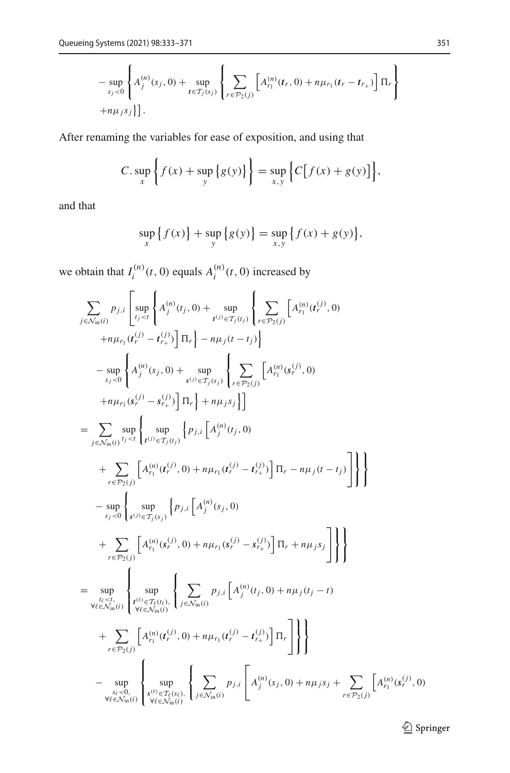$$
-\sup_{s_j<0}\left\{A_j^{(n)}(s_j,0)+\sup_{t\in T_j(s_j)}\left\{\sum_{r\in\mathcal{P}_2(j)}\left[A_{r_1}^{(n)}(t_r,0)+n\mu_{r_1}(t_r-t_{r_+})\right]\Pi_r\right\}\right\}
$$

After renaming the variables for ease of exposition, and using that

$$
C.\sup_x\left\{f(x)+\sup_y\left\{g(y)\right\}\right\}=\sup_{x,y}\left\{C\big[f(x)+g(y)\big]\right\},\
$$

and that

$$
\sup_{x} \{ f(x) \} + \sup_{y} \{ g(y) \} = \sup_{x,y} \{ f(x) + g(y) \},
$$

we obtain that  $I_i^{(n)}(t, 0)$  equals  $A_i^{(n)}(t, 0)$  increased by

$$
\sum_{j \in \mathcal{N}_{\text{in}}(i)} p_{j,i} \left[ \sup_{t_j < t} \left\{ A_j^{(n)}(t_j, 0) + \sup_{t^{(j)} \in T_j(t_j)} \left\{ \sum_{r \in P_2(j)} \left[ A_{r_1}^{(n)}(t_r^{(j)}, 0) + \sup_{s \neq r_1(t_j^{(j)})} \left\{ \sum_{r \in P_2(j)} \left[ A_{r_1}^{(n)}(t_r^{(j)}, 0) + \sup_{s_j < 0} \left\{ A_j^{(n)}(s_j, 0) + \sup_{s_j < 0} \left\{ \sum_{r \in P_2(j)} \left[ A_{r_1}^{(n)}(s_r^{(j)}, 0) + \sup_{s_j < 0} \left\{ \sum_{r \in P_2(j)} \left[ A_{r_1}^{(n)}(s_r^{(j)}, 0) + \sum_{r \in P_1(s_j)} \left\{ \sum_{r \in P_1(j)} \left[ A_j^{(n)}(t_j^{(j)}, 0) + \sum_{r \in P_2(j)} \left\{ \sum_{r \in P_1(j)} \left\{ \sum_{r \in P_2(j)} \left\{ \sum_{r \in P_2(j)} \left\{ \sum_{r \in P_2(j)} \left\{ \sum_{r \in P_2(j)} \left\{ \sum_{r \in P_2(j)} \left\{ \sum_{r \in P_2(j)} \left\{ \sum_{r \in P_2(j)} \left\{ \sum_{r \in P_2(j)} \left\{ \sum_{r \in P_2(j)} \left\{ \sum_{r \in P_2(j)} \left\{ \sum_{r \in P_2(j)} \left\{ \sum_{r \in P_2(j)} \left\{ \sum_{r \in P_2(j)} \left\{ \sum_{r \in P_2(j)} \left\{ \sum_{r \in P_2(j)} \left\{ \sum_{r \in P_2(j)} \left\{ \sum_{r \in P_2(j)} \left\{ \sum_{r \in P_2(j)} \left\{ \sum_{r \in P_2(j)} \left\{ \sum_{r \in P_2(j)} \left\{ \sum_{r \in P_2(j)} \left\{ \sum_{r \in P_2(j)} \left\{ \sum_{r \in P_2(j)} \left\{ \sum_{r \in P_2(j)} \left\{ \sum_{r \in P_2(j)} \left\{ \sum_{r \in P_2(j)} \left
$$

 $\underline{\textcircled{\tiny 2}}$  Springer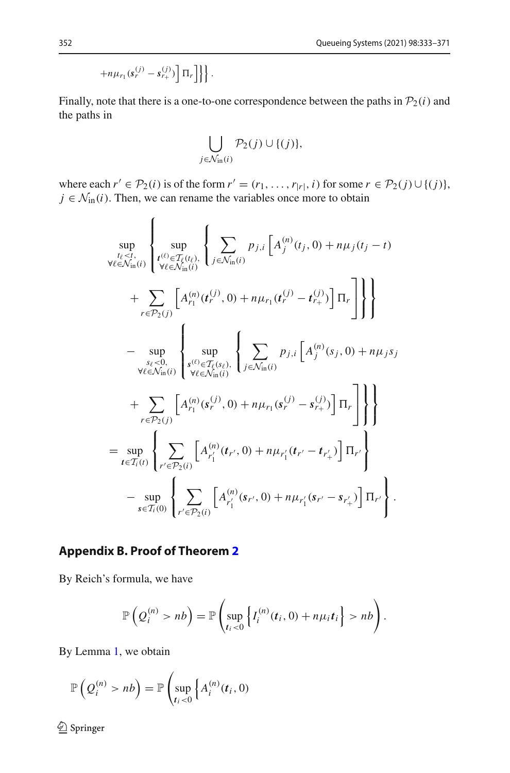$$
+n\mu_{r_1}(s_r^{(j)}-s_{r_+}^{(j)})\left[\Pi_r\right]\}\bigg\}.
$$

Finally, note that there is a one-to-one correspondence between the paths in  $P_2(i)$  and the paths in

$$
\bigcup_{j \in \mathcal{N}_{\text{in}}(i)} \mathcal{P}_2(j) \cup \{(j)\},\
$$

where each  $r' \in \mathcal{P}_2(i)$  is of the form  $r' = (r_1, \ldots, r_{|r|}, i)$  for some  $r \in \mathcal{P}_2(j) \cup \{(j)\},$  $j \in \mathcal{N}_{\text{in}}(i)$ . Then, we can rename the variables once more to obtain

$$
\sup_{\substack{t_{\ell} < t, \\ \forall \ell \in \mathcal{N}_{\text{in}}(i)}} \left\{ \sup_{\substack{t^{(l)} \in T_{\ell}(t_{\ell}), \\ \forall \ell \in \mathcal{N}_{\text{in}}(i)}} \left\{ \sum_{j \in \mathcal{N}_{\text{in}}(i)} p_{j,i} \left[ A_j^{(n)}(t_j, 0) + n\mu_j(t_j - t) \right. \right. \\ \left. + \sum_{r \in \mathcal{P}_2(j)} \left[ A_{r_1}^{(n)}(t_r^{(j)}, 0) + n\mu_{r_1}(t_r^{(j)} - t_{r_+}^{(j)}) \right] \Pi_r \right] \right\} \right\} \\ - \sup_{\substack{s_{\ell} < 0 \\ \forall \ell \in \mathcal{N}_{\text{in}}(i)}} \left\{ \sup_{\substack{s^{(\ell)} \in T_{\ell}(s_{\ell}) \\ \forall \ell \in \mathcal{N}_{\text{in}}(i)}} \left\{ \sum_{j \in \mathcal{N}_{\text{in}}(i)} p_{j,i} \left[ A_j^{(n)}(s_j, 0) + n\mu_j s_j \right. \right. \\ \left. + \sum_{r \in \mathcal{P}_2(j)} \left[ A_{r_1}^{(n)}(s_r^{(j)}, 0) + n\mu_{r_1}(s_r^{(j)} - s_{r_+}^{(j)}) \right] \Pi_r \right] \right\} \right\} \\ = \sup_{t \in T_i(t)} \left\{ \sum_{r' \in \mathcal{P}_2(i)} \left[ A_{r'_1}^{(n)}(t_{r'}, 0) + n\mu_{r'_1}(t_{r'} - t_{r'_+}) \right] \Pi_{r'} \right\} \\ - \sup_{s \in T_i(0)} \left\{ \sum_{r' \in \mathcal{P}_2(i)} \left[ A_{r'_1}^{(n)}(s_{r'}, 0) + n\mu_{r'_1}(s_{r'} - s_{r'_+}) \right] \Pi_{r'} \right\} .
$$

## <span id="page-20-0"></span>**Appendix B. Proof of Theorem [2](#page-10-1)**

By Reich's formula, we have

$$
\mathbb{P}\left(Q_i^{(n)} > nb\right) = \mathbb{P}\left(\sup_{t_i < 0} \left\{I_i^{(n)}(t_i, 0) + n\mu_i t_i\right\} > nb\right).
$$

By Lemma [1,](#page-9-1) we obtain

$$
\mathbb{P}\left(Q_i^{(n)} > nb\right) = \mathbb{P}\left(\sup_{t_i < 0} \left\{A_i^{(n)}(t_i, 0)\right\}\right)
$$

 $\hat{2}$  Springer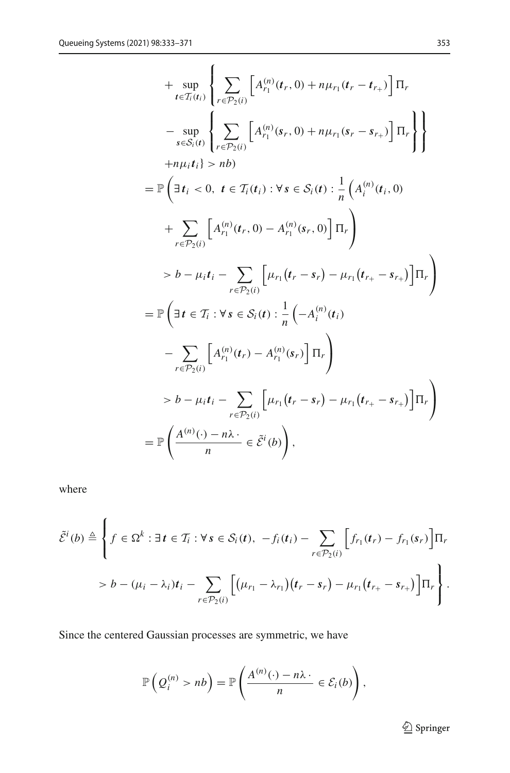+ 
$$
\sup_{t \in T_i(t_i)} \left\{ \sum_{r \in P_2(i)} \left[ A_{r_1}^{(n)}(t_r, 0) + n\mu_{r_1}(t_r - t_{r_+}) \right] \Pi_r
$$
  
\n- 
$$
\sup_{s \in S_i(t)} \left\{ \sum_{r \in P_2(i)} \left[ A_{r_1}^{(n)}(s_r, 0) + n\mu_{r_1}(s_r - s_{r_+}) \right] \Pi_r \right\} \right\}
$$
  
\n+ 
$$
n\mu_i t_i \right\} > nb
$$
  
\n= 
$$
\mathbb{P} \left( \exists t_i < 0, t \in T_i(t_i) : \forall s \in S_i(t) : \frac{1}{n} \left( A_i^{(n)}(t_i, 0) \right. \right)
$$
  
\n+ 
$$
\sum_{r \in P_2(i)} \left[ A_{r_1}^{(n)}(t_r, 0) - A_{r_1}^{(n)}(s_r, 0) \right] \Pi_r \right)
$$
  
\n> 
$$
b - \mu_i t_i - \sum_{r \in P_2(i)} \left[ \mu_{r_1}(t_r - s_r) - \mu_{r_1}(t_{r_+} - s_{r_+}) \right] \Pi_r \right)
$$
  
\n= 
$$
\mathbb{P} \left( \exists t \in T_i : \forall s \in S_i(t) : \frac{1}{n} \left( -A_i^{(n)}(t_i) \right. \right)
$$
  
\n- 
$$
\sum_{r \in P_2(i)} \left[ A_{r_1}^{(n)}(t_r) - A_{r_1}^{(n)}(s_r) \right] \Pi_r \right)
$$
  
\n> 
$$
b - \mu_i t_i - \sum_{r \in P_2(i)} \left[ \mu_{r_1}(t_r - s_r) - \mu_{r_1}(t_{r_+} - s_{r_+}) \right] \Pi_r \right)
$$
  
\n= 
$$
\mathbb{P} \left( \frac{A^{(n)}(\cdot) - n\lambda}{n} \in \tilde{\mathcal{E}}^i(b) \right),
$$

where

$$
\tilde{\mathcal{E}}^i(b) \triangleq \left\{ f \in \Omega^k : \exists t \in \mathcal{T}_i : \forall s \in \mathcal{S}_i(t), -f_i(t_i) - \sum_{r \in \mathcal{P}_2(i)} \left[ f_{r_1}(t_r) - f_{r_1}(s_r) \right] \Pi_r \right\}
$$
\n
$$
> b - (\mu_i - \lambda_i)t_i - \sum_{r \in \mathcal{P}_2(i)} \left[ (\mu_{r_1} - \lambda_{r_1})(t_r - s_r) - \mu_{r_1}(t_{r_+} - s_{r_+}) \right] \Pi_r \right\}.
$$

Since the centered Gaussian processes are symmetric, we have

$$
\mathbb{P}\left(Q_i^{(n)} > nb\right) = \mathbb{P}\left(\frac{A^{(n)}(\cdot) - n\lambda \cdot}{n} \in \mathcal{E}_i(b)\right),\,
$$

 $\underline{\textcircled{\tiny 2}}$  Springer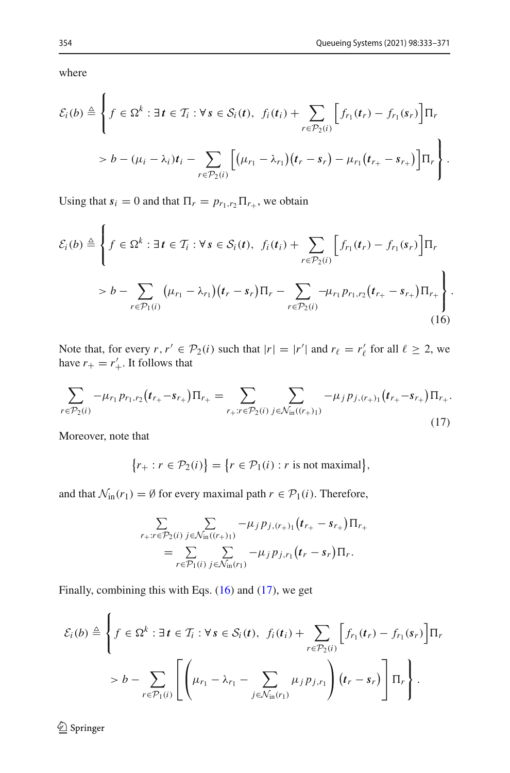where

$$
\mathcal{E}_i(b) \triangleq \left\{ f \in \Omega^k : \exists t \in \mathcal{T}_i : \forall s \in \mathcal{S}_i(t), \ f_i(t_i) + \sum_{r \in \mathcal{P}_2(i)} \left[ f_{r_1}(t_r) - f_{r_1}(s_r) \right] \Pi_r \right\}
$$
  
>  $b - (\mu_i - \lambda_i)t_i - \sum_{r \in \mathcal{P}_2(i)} \left[ (\mu_{r_1} - \lambda_{r_1})(t_r - s_r) - \mu_{r_1}(t_{r_+} - s_{r_+}) \right] \Pi_r \right\}.$ 

Using that  $s_i = 0$  and that  $\Pi_r = p_{r_1, r_2} \Pi_{r_+}$ , we obtain

$$
\mathcal{E}_{i}(b) \triangleq \left\{ f \in \Omega^{k} : \exists t \in \mathcal{T}_{i} : \forall s \in \mathcal{S}_{i}(t), \ f_{i}(t_{i}) + \sum_{r \in \mathcal{P}_{2}(i)} \left[ f_{r_{1}}(t_{r}) - f_{r_{1}}(s_{r}) \right] \Pi_{r} \right\}
$$

$$
> b - \sum_{r \in \mathcal{P}_{1}(i)} \left( \mu_{r_{1}} - \lambda_{r_{1}} \right) (t_{r} - s_{r}) \Pi_{r} - \sum_{r \in \mathcal{P}_{2}(i)} -\mu_{r_{1}} p_{r_{1}, r_{2}} (t_{r_{+}} - s_{r_{+}}) \Pi_{r_{+}} \right\}.
$$
(16)

Note that, for every  $r, r' \in \mathcal{P}_2(i)$  such that  $|r| = |r'|$  and  $r_\ell = r'_\ell$  for all  $\ell \geq 2$ , we have  $r_+ = r'_+$ . It follows that

<span id="page-22-1"></span>
$$
\sum_{r \in \mathcal{P}_2(i)} -\mu_{r_1} p_{r_1, r_2} (t_{r_+} - s_{r_+}) \Pi_{r_+} = \sum_{r_+ : r \in \mathcal{P}_2(i)} \sum_{j \in \mathcal{N}_{\text{in}}((r_+)_1)} -\mu_j p_{j, (r_+)_1} (t_{r_+} - s_{r_+}) \Pi_{r_+}.
$$
\n(17)

Moreover, note that

<span id="page-22-0"></span>
$$
\{r_+: r \in \mathcal{P}_2(i)\} = \{r \in \mathcal{P}_1(i) : r \text{ is not maximal}\},\
$$

and that  $\mathcal{N}_{\text{in}}(r_1) = \emptyset$  for every maximal path  $r \in \mathcal{P}_1(i)$ . Therefore,

$$
\sum_{r_+ : r \in \mathcal{P}_2(i)} \sum_{j \in \mathcal{N}_{\text{in}}((r+1))} -\mu_j p_{j,(r+1)}(t_{r_+} - s_{r_+}) \Pi_{r_+} \n= \sum_{r \in \mathcal{P}_1(i)} \sum_{j \in \mathcal{N}_{\text{in}}(r_1)} -\mu_j p_{j,r_1}(t_r - s_r) \Pi_r.
$$

Finally, combining this with Eqs. [\(16\)](#page-22-0) and [\(17\)](#page-22-1), we get

$$
\mathcal{E}_i(b) \triangleq \left\{ f \in \Omega^k : \exists t \in \mathcal{T}_i : \forall s \in \mathcal{S}_i(t), \ f_i(t_i) + \sum_{r \in \mathcal{P}_2(i)} \left[ f_{r_1}(t_r) - f_{r_1}(s_r) \right] \Pi_r \right\}
$$

$$
> b - \sum_{r \in \mathcal{P}_1(i)} \left[ \left( \mu_{r_1} - \lambda_{r_1} - \sum_{j \in \mathcal{N}_{\text{in}}(r_1)} \mu_j p_{j,r_1} \right) (t_r - s_r) \right] \Pi_r \right\}.
$$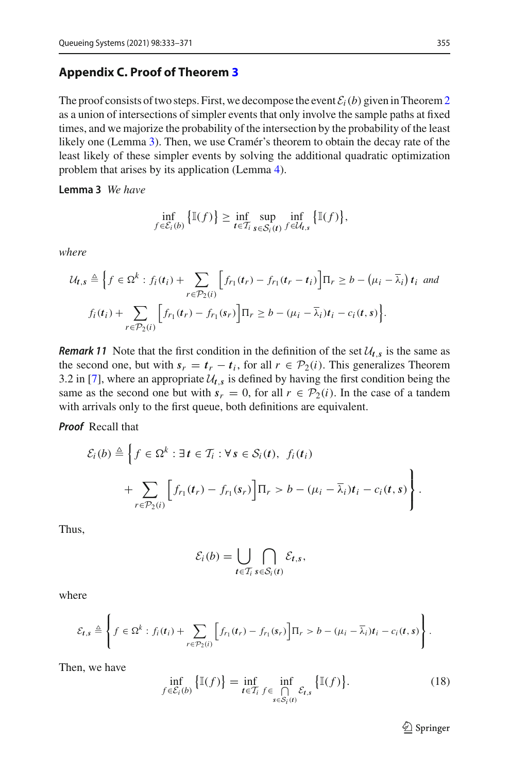#### <span id="page-23-0"></span>**Appendix C. Proof of Theorem [3](#page-11-0)**

The proof consists of two steps. First, we decompose the event  $\mathcal{E}_i(b)$  given in Theorem [2](#page-10-1) as a union of intersections of simpler events that only involve the sample paths at fixed times, and we majorize the probability of the intersection by the probability of the least likely one (Lemma [3\)](#page-23-1). Then, we use Cramér's theorem to obtain the decay rate of the least likely of these simpler events by solving the additional quadratic optimization problem that arises by its application (Lemma [4\)](#page-24-0).

<span id="page-23-1"></span>**Lemma 3** *We have*

$$
\inf_{f \in \mathcal{E}_i(b)} \left\{ \mathbb{I}(f) \right\} \geq \inf_{t \in \mathcal{T}_i} \sup_{s \in \mathcal{S}_i(t)} \inf_{f \in \mathcal{U}_{t,s}} \left\{ \mathbb{I}(f) \right\},\,
$$

*where*

$$
\mathcal{U}_{t,s} \triangleq \Big\{ f \in \Omega^k : f_i(t_i) + \sum_{r \in \mathcal{P}_2(i)} \Big[ f_{r_1}(t_r) - f_{r_1}(t_r - t_i) \Big] \Pi_r \geq b - \big( \mu_i - \overline{\lambda}_i \big) t_i \text{ and}
$$

$$
f_i(t_i) + \sum_{r \in \mathcal{P}_2(i)} \Big[ f_{r_1}(t_r) - f_{r_1}(s_r) \Big] \Pi_r \geq b - \big( \mu_i - \overline{\lambda}_i \big) t_i - c_i(t,s) \Big\}.
$$

*Remark 11* Note that the first condition in the definition of the set  $\mathcal{U}_{t,s}$  is the same as the second one, but with  $s_r = t_r - t_i$ , for all  $r \in \mathcal{P}_2(i)$ . This generalizes Theorem 3.2 in [\[7](#page-38-4)], where an appropriate  $\mathcal{U}_{t,s}$  is defined by having the first condition being the same as the second one but with  $s_r = 0$ , for all  $r \in \mathcal{P}_2(i)$ . In the case of a tandem with arrivals only to the first queue, both definitions are equivalent.

*Proof* Recall that

$$
\mathcal{E}_i(b) \triangleq \left\{ f \in \Omega^k : \exists t \in \mathcal{T}_i : \forall s \in \mathcal{S}_i(t), \ f_i(t_i) \right\}
$$

$$
+ \sum_{r \in \mathcal{P}_2(i)} \left[ f_{r_1}(t_r) - f_{r_1}(s_r) \right] \Pi_r > b - (\mu_i - \overline{\lambda}_i)t_i - c_i(t, s) \right\}.
$$

Thus,

$$
\mathcal{E}_i(b) = \bigcup_{t \in \mathcal{T}_i} \bigcap_{s \in \mathcal{S}_i(t)} \mathcal{E}_{t,s},
$$

where

$$
\mathcal{E}_{t,s} \triangleq \left\{ f \in \Omega^k : f_i(t_i) + \sum_{r \in \mathcal{P}_2(i)} \left[ f_{r_1}(t_r) - f_{r_1}(s_r) \right] \Pi_r > b - (\mu_i - \overline{\lambda}_i)t_i - c_i(t,s) \right\}.
$$

Then, we have

<span id="page-23-2"></span>
$$
\inf_{f \in \mathcal{E}_i(b)} \left\{ \mathbb{I}(f) \right\} = \inf_{t \in \mathcal{T}_i} \inf_{f \in \bigcap_{s \in \mathcal{S}_i(t)} \mathcal{E}_{t,s}} \left\{ \mathbb{I}(f) \right\}.
$$
\n(18)

 $\mathcal{D}$  Springer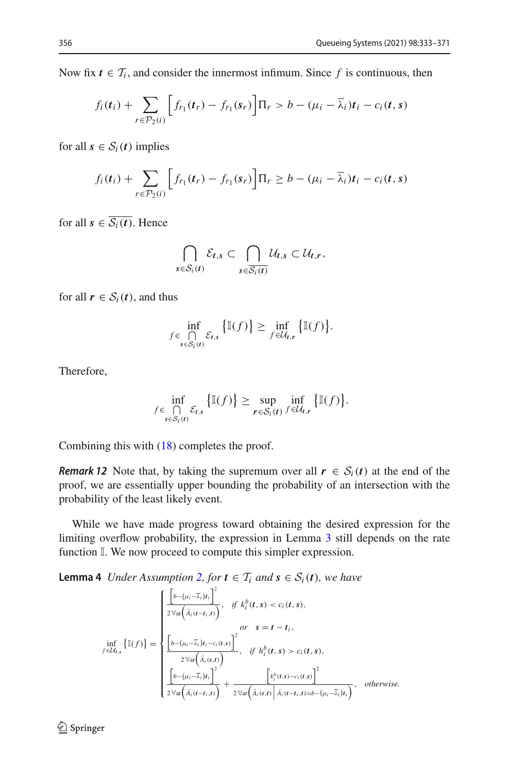Now fix  $t \in \mathcal{T}_i$ , and consider the innermost infimum. Since f is continuous, then

$$
f_i(t_i) + \sum_{r \in \mathcal{P}_2(i)} \left[ f_{r_1}(t_r) - f_{r_1}(s_r) \right] \Pi_r > b - (\mu_i - \overline{\lambda}_i)t_i - c_i(t, s)
$$

for all  $s \in S_i(t)$  implies

$$
f_i(t_i) + \sum_{r \in \mathcal{P}_2(i)} \left[ f_{r_1}(t_r) - f_{r_1}(s_r) \right] \Pi_r \geq b - (\mu_i - \overline{\lambda}_i)t_i - c_i(t, s)
$$

for all  $s \in \overline{S_i(t)}$ . Hence

$$
\bigcap_{s\in\mathcal{S}_i(t)}\mathcal{E}_{t,s}\subset\bigcap_{s\in\overline{\mathcal{S}_i(t)}}\mathcal{U}_{t,s}\subset\mathcal{U}_{t,r},
$$

for all  $r \in S_i(t)$ , and thus

$$
\inf_{\substack{f \in \bigcap_{s \in \mathcal{S}_i(t)}}} \mathcal{E}_{t,s} \left\{ \mathbb{I}(f) \right\} \geq \inf_{f \in \mathcal{U}_{t,r}} \left\{ \mathbb{I}(f) \right\}.
$$

Therefore,

$$
\inf_{f \in \bigcap_{s \in \mathcal{S}_i(t)} \mathcal{E}_{t,s}} \left\{ \mathbb{I}(f) \right\} \geq \sup_{r \in \mathcal{S}_i(t)} \inf_{f \in \mathcal{U}_{t,r}} \left\{ \mathbb{I}(f) \right\}.
$$

Combining this with [\(18\)](#page-23-2) completes the proof.

*Remark 12* Note that, by taking the supremum over all  $r \in S_i(t)$  at the end of the proof, we are essentially upper bounding the probability of an intersection with the probability of the least likely event.

While we have made progress toward obtaining the desired expression for the limiting overflow probability, the expression in Lemma [3](#page-23-1) still depends on the rate function  $\mathbb{I}$ . We now proceed to compute this simpler expression.

<span id="page-24-0"></span>**Lemma 4** *Under Assumption [2,](#page-6-1) for*  $t \in \mathcal{T}_i$  *and*  $s \in \mathcal{S}_i(t)$ *, we have* 

$$
\inf_{f \in \mathcal{U}_{t,s}} \left\{ \mathbb{I}(f) \right\} = \begin{cases} \frac{\left[ b - (\mu_i - \overline{\lambda}_i)t_i \right]^2}{2 \sqrt{\text{ar}\left( \overline{\lambda}_i(t - t_i, t) \right)}}, & \text{if } k_i^b(t, s) < c_i(t, s), \\ \text{or } s = t - t_i, \\ \frac{\left[ b - (\mu_i - \overline{\lambda}_i)t_i - c_i(t, s) \right]^2}{2 \sqrt{\text{ar}\left( \overline{\lambda}_i(s, t) \right)}}, & \text{if } h_i^b(t, s) > c_i(t, s), \\ \frac{\left[ b - (\mu_i - \overline{\lambda}_i)t_i \right]^2}{2 \sqrt{\text{ar}\left( \overline{\lambda}_i(t - t_i, t) \right)}} + \frac{\left[ k_i^b(t, s) - c_i(t, s) \right]^2}{2 \sqrt{\text{ar}\left( \overline{\lambda}_i(s, t) \right)} \left[ \overline{\lambda}_i(t - t_i, t) - b - (\mu_i - \overline{\lambda}_i)t_i \right]}, & \text{otherwise.} \end{cases}
$$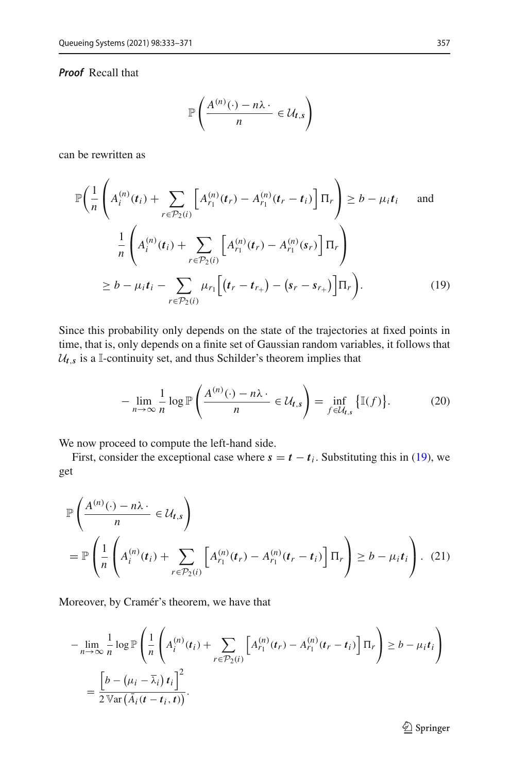#### *Proof* Recall that

<span id="page-25-0"></span>
$$
\mathbb{P}\left(\frac{A^{(n)}(\cdot)-n\lambda\cdot}{n}\in\mathcal{U}_{t,s}\right)
$$

can be rewritten as

$$
\mathbb{P}\left(\frac{1}{n}\left(A_i^{(n)}(t_i) + \sum_{r \in \mathcal{P}_2(i)} \left[A_{r_1}^{(n)}(t_r) - A_{r_1}^{(n)}(t_r - t_i)\right] \Pi_r\right) \ge b - \mu_i t_i \quad \text{and}
$$
\n
$$
\frac{1}{n}\left(A_i^{(n)}(t_i) + \sum_{r \in \mathcal{P}_2(i)} \left[A_{r_1}^{(n)}(t_r) - A_{r_1}^{(n)}(s_r)\right] \Pi_r\right)
$$
\n
$$
\ge b - \mu_i t_i - \sum_{r \in \mathcal{P}_2(i)} \mu_{r_1}\left[(t_r - t_{r_+}) - (s_r - s_{r_+})\right] \Pi_r\right).
$$
\n(19)

Since this probability only depends on the state of the trajectories at fixed points in time, that is, only depends on a finite set of Gaussian random variables, it follows that  $U_t$ <sub>*s*</sub> is a I-continuity set, and thus Schilder's theorem implies that

<span id="page-25-2"></span><span id="page-25-1"></span>
$$
-\lim_{n\to\infty}\frac{1}{n}\log\mathbb{P}\left(\frac{A^{(n)}(\cdot)-n\lambda\cdot}{n}\in\mathcal{U}_{t,s}\right)=\inf_{f\in\mathcal{U}_{t,s}}\big\{\mathbb{I}(f)\big\}.\tag{20}
$$

We now proceed to compute the left-hand side.

First, consider the exceptional case where  $s = t - t_i$ . Substituting this in [\(19\)](#page-25-0), we get

$$
\mathbb{P}\left(\frac{A^{(n)}(\cdot) - n\lambda \cdot}{n} \in \mathcal{U}_{t,s}\right)
$$
\n
$$
= \mathbb{P}\left(\frac{1}{n}\left(A_i^{(n)}(t_i) + \sum_{r \in \mathcal{P}_2(i)} \left[A_{r_1}^{(n)}(t_r) - A_{r_1}^{(n)}(t_r - t_i)\right] \Pi_r\right) \ge b - \mu_i t_i\right). \tag{21}
$$

Moreover, by Cramér's theorem, we have that

$$
-\lim_{n\to\infty}\frac{1}{n}\log\mathbb{P}\left(\frac{1}{n}\left(A_i^{(n)}(t_i)+\sum_{r\in\mathcal{P}_2(i)}\left[A_{r_1}^{(n)}(t_r)-A_{r_1}^{(n)}(t_r-t_i)\right]\Pi_r\right)\geq b-\mu_it_i\right)
$$

$$
=\frac{\left[b-(\mu_i-\overline{\lambda}_i)\,t_i\right]^2}{2\,\mathbb{V}\text{ar}\left(\overline{A}_i(t-t_i,t)\right)}.
$$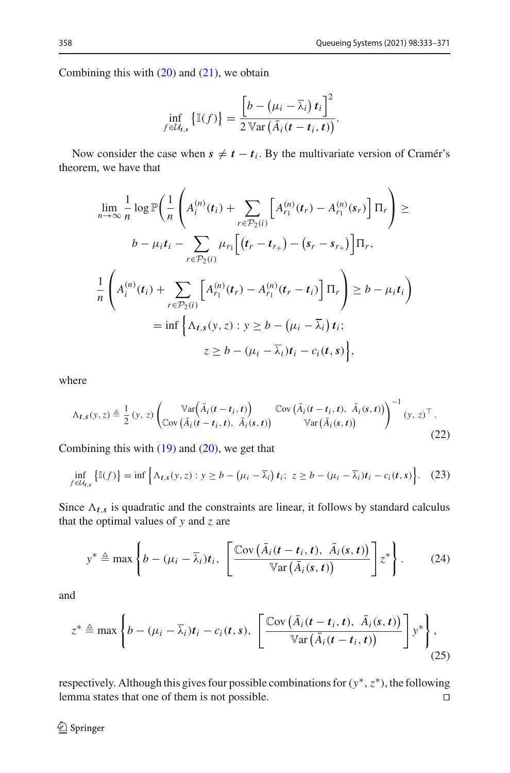Combining this with  $(20)$  and  $(21)$ , we obtain

$$
\inf_{f \in \mathcal{U}_{t,s}} \left\{ \mathbb{I}(f) \right\} = \frac{\left[ b - \left( \mu_i - \overline{\lambda}_i \right) t_i \right]^2}{2 \operatorname{Var} \left( \overline{\dot{A}}_i \left( t - t_i, t \right) \right)}.
$$

Now consider the case when  $s \neq t - t_i$ . By the multivariate version of Cramér's theorem, we have that

$$
\lim_{n \to \infty} \frac{1}{n} \log \mathbb{P}\left(\frac{1}{n} \left(A_i^{(n)}(t_i) + \sum_{r \in \mathcal{P}_2(i)} \left[A_{r_1}^{(n)}(t_r) - A_{r_1}^{(n)}(s_r)\right] \Pi_r\right) \ge
$$
\n
$$
b - \mu_i t_i - \sum_{r \in \mathcal{P}_2(i)} \mu_{r_1} \left[(t_r - t_{r_+}) - (s_r - s_{r_+})\right] \Pi_r,
$$
\n
$$
\frac{1}{n} \left(A_i^{(n)}(t_i) + \sum_{r \in \mathcal{P}_2(i)} \left[A_{r_1}^{(n)}(t_r) - A_{r_1}^{(n)}(t_r - t_i)\right] \Pi_r\right) \ge b - \mu_i t_i\right)
$$
\n
$$
= \inf \left\{\Lambda_{t,s}(y, z) : y \ge b - (\mu_i - \overline{\lambda}_i) t_i;
$$
\n
$$
z \ge b - (\mu_i - \overline{\lambda}_i) t_i - c_i(t, s)\right\},
$$

where

<span id="page-26-1"></span>
$$
\Lambda_{t,s}(y,z) \triangleq \frac{1}{2}(y,z) \left( \nabla u \left( \overline{A}_i(t-t_i,t) \right) \nabla v \left( \overline{A}_i(t-t_i,t), \overline{A}_i(s,t) \right) \right)^{-1} (y,z)^\top.
$$
\n
$$
\nabla u \left( \overline{A}_i(s,t) \right) \nabla u \left( \overline{A}_i(s,t) \right)
$$
\n
$$
(22)
$$

Combining this with  $(19)$  and  $(20)$ , we get that

$$
\inf_{f \in \mathcal{U}_{t,s}} \left\{ \mathbb{I}(f) \right\} = \inf \left\{ \Lambda_{t,s}(y,z) : y \ge b - \left( \mu_i - \overline{\lambda}_i \right) t_i ; z \ge b - \left( \mu_i - \overline{\lambda}_i \right) t_i - c_i(t,s) \right\}. \tag{23}
$$

Since  $\Lambda_{t,s}$  is quadratic and the constraints are linear, it follows by standard calculus that the optimal values of *y* and *z* are

<span id="page-26-2"></span><span id="page-26-0"></span>
$$
y^* \triangleq \max \left\{ b - (\mu_i - \overline{\lambda}_i) t_i, \left[ \frac{\text{Cov}(\overline{A}_i(t - t_i, t), \overline{A}_i(s, t))}{\text{Var}(\overline{A}_i(s, t))} \right] z^* \right\}.
$$
 (24)

and

$$
z^* \triangleq \max\left\{b - (\mu_i - \overline{\lambda}_i)t_i - c_i(t, s), \left[\frac{\mathbb{C}\text{ov}\left(\overline{A}_i(t - t_i, t), \overline{A}_i(s, t)\right)}{\mathbb{V}\text{ar}\left(\overline{A}_i(t - t_i, t)\right)}\right]y^*\right\},\tag{25}
$$

respectively. Although this gives four possible combinations for(*y*∗,*z*∗), the following lemma states that one of them is not possible.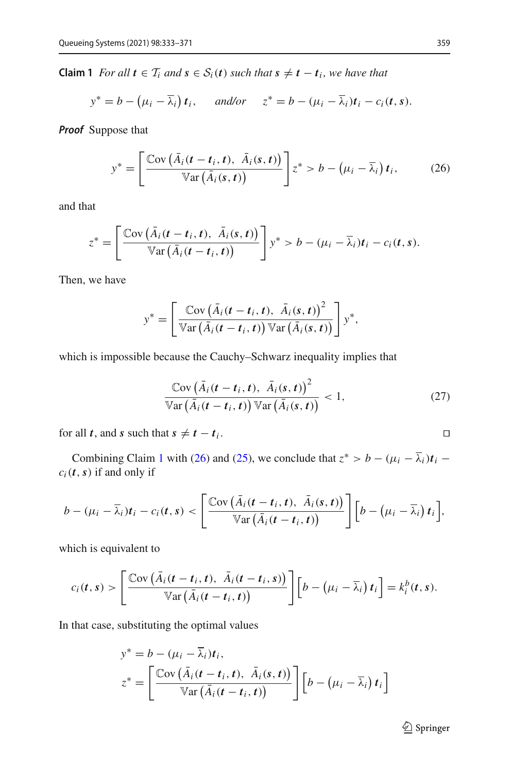<span id="page-27-0"></span>**Claim 1** *For all*  $t \in T_i$  *and*  $s \in S_i(t)$  *such that*  $s ≠ t - t_i$ *, we have that* 

$$
y^* = b - (\mu_i - \overline{\lambda}_i) t_i
$$
, and/or  $z^* = b - (\mu_i - \overline{\lambda}_i) t_i - c_i(t, s)$ .

*Proof* Suppose that

<span id="page-27-1"></span>
$$
y^* = \left[\frac{\text{Cov}\left(\bar{A}_i(t-t_i,t), \ \bar{A}_i(s,t)\right)}{\text{Var}\left(\bar{A}_i(s,t)\right)}\right]z^* > b - \left(\mu_i - \bar{\lambda}_i\right)t_i,\tag{26}
$$

and that

$$
z^* = \left[\frac{\operatorname{Cov}\left(\bar{A}_i(t-t_i,t), \ \bar{A}_i(s,t)\right)}{\operatorname{Var}\left(\bar{A}_i(t-t_i,t)\right)}\right] y^* > b - (\mu_i - \bar{\lambda}_i)t_i - c_i(t,s).
$$

Then, we have

$$
y^* = \left[ \frac{\text{Cov}(\bar{A}_i(t-t_i,t), \ \bar{A}_i(s,t))^2}{\text{Var}(\bar{A}_i(t-t_i,t)) \text{Var}(\bar{A}_i(s,t))} \right] y^*,
$$

which is impossible because the Cauchy–Schwarz inequality implies that

$$
\frac{\operatorname{Cov}\left(\bar{A}_{i}(t-t_{i},t), \ \bar{A}_{i}(s,t)\right)^{2}}{\operatorname{Var}\left(\bar{A}_{i}(t-t_{i},t)\right) \operatorname{Var}\left(\bar{A}_{i}(s,t)\right)} < 1, \tag{27}
$$

for all *t*, and *s* such that  $s \neq t - t_i$ .

Combining Claim [1](#page-27-0) with [\(26\)](#page-27-1) and [\(25\)](#page-26-0), we conclude that  $z^* > b - (\mu_i - \overline{\lambda}_i)t_i$  –  $c_i(t, s)$  if and only if

$$
b-(\mu_i-\overline{\lambda}_i)t_i-c_i(t,s)<\left[\frac{\text{Cov}(\overline{A}_i(t-t_i,t), \overline{A}_i(s,t))}{\text{Var}(\overline{A}_i(t-t_i,t))}\right]\left[b-(\mu_i-\overline{\lambda}_i) t_i\right],
$$

which is equivalent to

$$
c_i(t,s) > \left[\frac{\text{Cov}(\bar{A}_i(t-t_i,t), \ \bar{A}_i(t-t_i,s))}{\text{Var}(\bar{A}_i(t-t_i,t))}\right]\left[b - (\mu_i - \bar{\lambda}_i) t_i\right] = k_i^b(t,s).
$$

In that case, substituting the optimal values

$$
y^* = b - (\mu_i - \lambda_i)t_i,
$$
  
\n
$$
z^* = \left[\frac{\text{Cov}(\bar{A}_i(t - t_i, t), \bar{A}_i(s, t))}{\text{Var}(\bar{A}_i(t - t_i, t))}\right][b - (\mu_i - \bar{\lambda}_i)t_i]
$$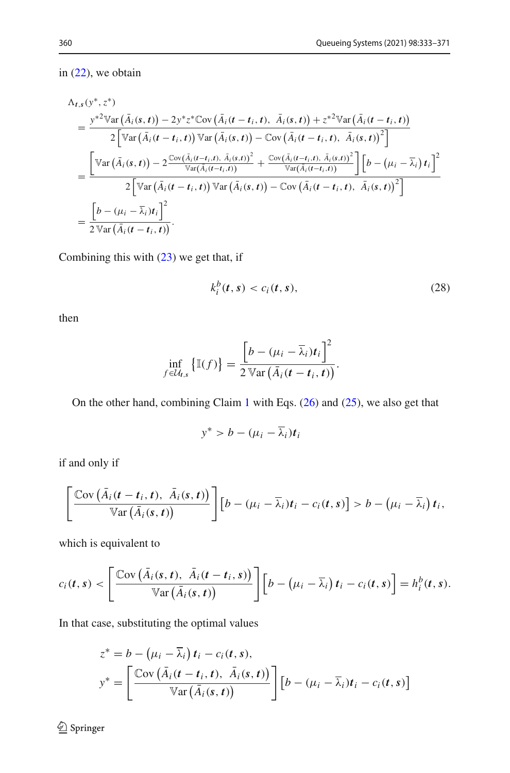in [\(22\)](#page-26-1), we obtain

$$
\Lambda_{t,s}(y^*,z^*)
$$
\n
$$
= \frac{y^{*2}\text{Var}\left(\bar{A}_i(s,t)\right) - 2y^*z^*\text{Cov}\left(\bar{A}_i(t-t_i,t), \ \bar{A}_i(s,t)\right) + z^{*2}\text{Var}\left(\bar{A}_i(t-t_i,t)\right)}{2\left[\text{Var}\left(\bar{A}_i(t-t_i,t)\right)\text{Var}\left(\bar{A}_i(s,t)\right) - \text{Cov}\left(\bar{A}_i(t-t_i,t), \ \bar{A}_i(s,t)\right)^2\right]}
$$
\n
$$
= \frac{\left[\text{Var}\left(\bar{A}_i(s,t)\right) - 2\frac{\text{Cov}\left(\bar{A}_i(t-t_i,t), \ \bar{A}_i(s,t)\right)^2}{\text{Var}\left(\bar{A}_i(t-t_i,t)\right)} + \frac{\text{Cov}\left(\bar{A}_i(t-t_i,t), \ \bar{A}_i(s,t)\right)^2}{\text{Var}\left(\bar{A}_i(t-t_i,t)\right)}\right]\left[b - \left(\mu_i - \bar{\lambda}_i\right)t_i\right]^2}{2\left[\text{Var}\left(\bar{A}_i(t-t_i,t)\right)\text{Var}\left(\bar{A}_i(s,t)\right) - \text{Cov}\left(\bar{A}_i(t-t_i,t), \ \bar{A}_i(s,t)\right)^2\right]}
$$
\n
$$
= \frac{\left[b - \left(\mu_i - \bar{\lambda}_i\right)t_i\right]^2}{2\text{Var}\left(\bar{A}_i(t-t_i,t)\right)}.
$$

Combining this with [\(23\)](#page-26-2) we get that, if

<span id="page-28-0"></span>
$$
k_i^b(t,s) < c_i(t,s),\tag{28}
$$

then

$$
\inf_{f \in \mathcal{U}_{t,s}} \left\{ \mathbb{I}(f) \right\} = \frac{\left[ b - (\mu_i - \overline{\lambda}_i)t_i \right]^2}{2 \operatorname{Var} \left( \overline{A}_i(t - t_i, t) \right)}.
$$

On the other hand, combining Claim [1](#page-27-0) with Eqs. [\(26\)](#page-27-1) and [\(25\)](#page-26-0), we also get that

$$
y^* > b - (\mu_i - \overline{\lambda}_i)t_i
$$

if and only if

$$
\left[\frac{\text{Cov}\left(\bar{A}_i(t-t_i,t), \ \bar{A}_i(s,t)\right)}{\text{Var}\left(\bar{A}_i(s,t)\right)}\right][b-(\mu_i-\bar{\lambda}_i)t_i-c_i(t,s)] > b-(\mu_i-\bar{\lambda}_i)t_i,
$$

which is equivalent to

$$
c_i(t,s) < \left[\frac{\text{Cov}(\bar{A}_i(s,t), \ \bar{A}_i(t-t_i,s))}{\text{Var}(\bar{A}_i(s,t))}\right] \left[b - (\mu_i - \bar{\lambda}_i) t_i - c_i(t,s)\right] = h_i^b(t,s).
$$

In that case, substituting the optimal values

$$
z^* = b - (\mu_i - \overline{\lambda}_i) t_i - c_i(t, s),
$$
  

$$
y^* = \left[ \frac{\text{Cov}(\overline{A}_i(t - t_i, t), \overline{A}_i(s, t))}{\text{Var}(\overline{A}_i(s, t))} \right] [b - (\mu_i - \overline{\lambda}_i) t_i - c_i(t, s)]
$$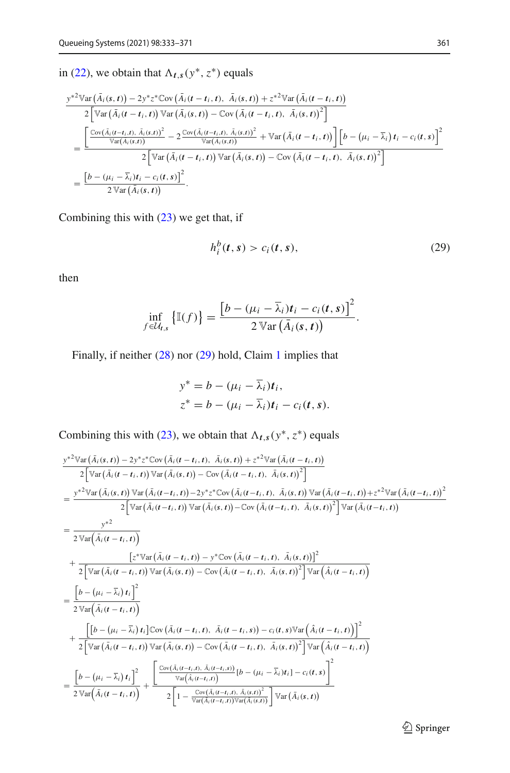in [\(22\)](#page-26-1), we obtain that  $\Lambda_{t,s}(y^*, z^*)$  equals

$$
\frac{\int e^{-\frac{\lambda}{2}} \mathbb{V}\mathrm{ar}\left(\bar{A}_{i}(\mathbf{s},t)\right)-2\mathbb{V}^{*}z^{*}\mathbb{C}\mathrm{ov}\left(\bar{A}_{i}(\mathbf{t}-t_{i},t),\ \bar{A}_{i}(\mathbf{s},t)\right)+z^{*2}\mathbb{V}\mathrm{ar}\left(\bar{A}_{i}(\mathbf{t}-t_{i},t)\right)}{2\left[\mathbb{V}\mathrm{ar}\left(\bar{A}_{i}(\mathbf{t}-t_{i},t)\right)\mathbb{V}\mathrm{ar}\left(\bar{A}_{i}(\mathbf{s},t)\right)-\mathbb{C}\mathrm{ov}\left(\bar{A}_{i}(\mathbf{t}-t_{i},t),\ \bar{A}_{i}(\mathbf{s},t)\right)^{2}\right]}\right]}{\left[\frac{\mathbb{C}\mathrm{ov}(\bar{A}_{i}(\mathbf{t}-t_{i},t),\ \bar{A}_{i}(\mathbf{s},t))^{2}}{\mathbb{V}\mathrm{ar}\left(\bar{A}_{i}(\mathbf{s},t)\right)}-2\frac{\mathbb{C}\mathrm{ov}\left(\bar{A}_{i}(\mathbf{t}-t_{i},t),\ \bar{A}_{i}(\mathbf{s},t)\right)^{2}}{\mathbb{V}\mathrm{ar}\left(\bar{A}_{i}(\mathbf{s},t)\right)}+\mathbb{V}\mathrm{ar}\left(\bar{A}_{i}(\mathbf{t}-t_{i},t)\right)\right]\left[b-\left(\mu_{i}-\bar{\lambda}_{i}\right)t_{i}-c_{i}(\mathbf{t},s)\right]^{2}}{2\left[\mathbb{V}\mathrm{ar}\left(\bar{A}_{i}(\mathbf{t}-t_{i},t)\right)\mathbb{V}\mathrm{ar}\left(\bar{A}_{i}(\mathbf{s},t)\right)-\mathbb{C}\mathrm{ov}\left(\bar{A}_{i}(\mathbf{t}-t_{i},t),\ \bar{A}_{i}(\mathbf{s},t)\right)^{2}\right]}\right]}{\left[\frac{b-\left(\mu_{i}-\bar{\lambda}_{i}\right)t_{i}-c_{i}(\mathbf{t},s)\right]^{2}}{2\mathbb{V}\mathrm{ar}\left(\bar{A}_{i}(\mathbf{s},t)\right)}.
$$

Combining this with [\(23\)](#page-26-2) we get that, if

<span id="page-29-0"></span>
$$
h_i^b(t,s) > c_i(t,s),\tag{29}
$$

then

$$
\inf_{f \in \mathcal{U}_{t,s}} \left\{ \mathbb{I}(f) \right\} = \frac{\left[b - (\mu_i - \overline{\lambda}_i)t_i - c_i(t,s)\right]^2}{2 \operatorname{Var}(\overline{A}_i(s,t))}.
$$

Finally, if neither [\(28\)](#page-28-0) nor [\(29\)](#page-29-0) hold, Claim [1](#page-27-0) implies that

$$
y^* = b - (\mu_i - \overline{\lambda}_i)t_i,
$$
  
\n
$$
z^* = b - (\mu_i - \overline{\lambda}_i)t_i - c_i(t, s).
$$

Combining this with [\(23\)](#page-26-2), we obtain that  $\Lambda_{t,s}(y^*, z^*)$  equals

$$
\frac{y^{*2}\nabla ar(\bar{A}_{i}(s,t)) - 2y^{*}z^{*}\nabla \alpha(\bar{A}_{i}(t-t_{i},t), \bar{A}_{i}(s,t)) + z^{*2}\nabla ar(\bar{A}_{i}(t-t_{i},t))}{2 \left[\nabla ar(\bar{A}_{i}(t-t_{i},t)) \nabla ar(\bar{A}_{i}(s,t)) - \nabla \alpha(\bar{A}_{i}(t-t_{i},t), \bar{A}_{i}(s,t))\nabla ar(\bar{A}_{i}(t-t_{i},t)) + z^{*2}\nabla ar(\bar{A}_{i}(t-t_{i},t))\n\right]
$$
\n
$$
= \frac{y^{*2}\nabla ar(\bar{A}_{i}(s,t)) \nabla ar(\bar{A}_{i}(t-t_{i},t)) - 2y^{*}z^{*}\nabla \alpha(\bar{A}_{i}(t-t_{i},t), \bar{A}_{i}(s,t)) \nabla ar(\bar{A}_{i}(t-t_{i},t)) + z^{*2}\nabla ar(\bar{A}_{i}(t-t_{i},t))}{2 \left[\nabla ar(\bar{A}_{i}(t-t_{i},t))\nabla ar(\bar{A}_{i}(t-t_{i},t)) - y^{*}\nabla \alpha(\bar{A}_{i}(t-t_{i},t), \bar{A}_{i}(s,t))\n\right]^{2}\n+ \frac{[z^{*}\nabla ar(\bar{A}_{i}(t-t_{i},t)) - y^{*}\nabla \alpha(\bar{A}_{i}(t-t_{i},t), \bar{A}_{i}(s,t))]^{2}}{2 \left[\nabla ar(\bar{A}_{i}(t-t_{i},t))\nabla ar(\bar{A}_{i}(t-t_{i},t))\n\right]
$$
\n
$$
= \frac{\left[b - (\mu_{i} - \bar{\lambda}_{i})t_{i}\right]^{2}}{2 \left[\nabla ar(\bar{A}_{i}(t-t_{i},t))\n\right]}
$$
\n
$$
+ \frac{\left[\left[b - (\mu_{i} - \bar{\lambda}_{i})t_{i}\right]^{2}\nabla \alpha(\bar{A}_{i}(t-t_{i},t), \bar{A}_{i}(t-t_{i},s)) - c_{i}(t,s)\nabla ar(\bar{A}_{i}(t-t_{i},t))\n\right]^{2}}{2 \left[\nabla ar(\bar{A}_{i}(t-t_{i},t))\n\nabla ar(\bar{A}_{i}(t-t_{i},t))\n\right]
$$
\n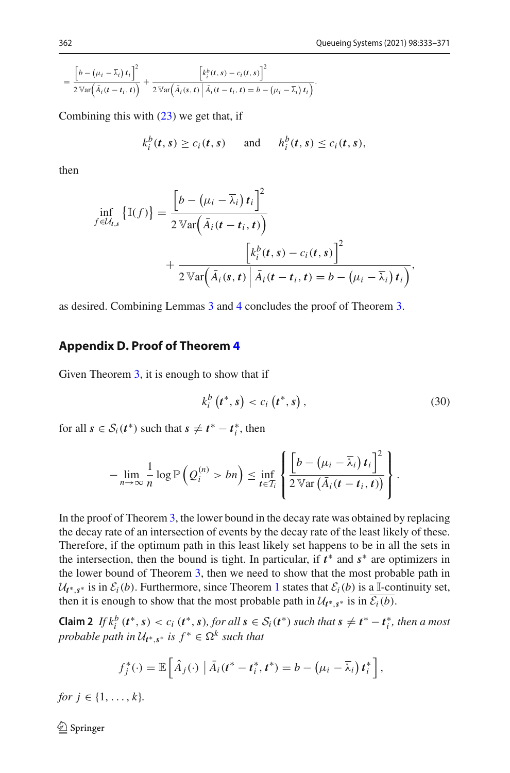$$
= \frac{\left[b - (\mu_i - \overline{\lambda}_i) t_i\right]^2}{2 \mathbb{V}\text{ar}\left(\overline{\tilde{A}}_i(t-t_i,t)\right)} + \frac{\left[k_i^b(t,s) - c_i(t,s)\right]^2}{2 \mathbb{V}\text{ar}\left(\overline{\tilde{A}}_i(s,t) \mid \overline{\tilde{A}}_i(t-t_i,t) = b - (\mu_i - \overline{\lambda}_i) t_i\right)}.
$$

Combining this with [\(23\)](#page-26-2) we get that, if

$$
k_i^b(t,s) \geq c_i(t,s) \quad \text{and} \quad h_i^b(t,s) \leq c_i(t,s),
$$

then

$$
\inf_{f \in \mathcal{U}_{t,s}} \left\{ \mathbb{I}(f) \right\} = \frac{\left[ b - \left( \mu_i - \overline{\lambda}_i \right) t_i \right]^2}{2 \operatorname{Var} \left( \overline{A}_i (t - t_i, t) \right)} + \frac{\left[ k_i^b(t, s) - c_i(t, s) \right]^2}{2 \operatorname{Var} \left( \overline{A}_i (s, t) \right) \left[ \overline{A}_i (t - t_i, t) = b - \left( \mu_i - \overline{\lambda}_i \right) t_i \right)},
$$

as desired. Combining Lemmas [3](#page-23-1) and [4](#page-24-0) concludes the proof of Theorem [3.](#page-11-0)

#### <span id="page-30-0"></span>**Appendix D. Proof of Theorem [4](#page-13-0)**

Given Theorem [3,](#page-11-0) it is enough to show that if

<span id="page-30-1"></span>
$$
k_i^b(t^*, s) < c_i(t^*, s) \,, \tag{30}
$$

for all  $s \in S_i(t^*)$  such that  $s \neq t^* - t_i^*$ , then

$$
-\lim_{n\to\infty}\frac{1}{n}\log\mathbb{P}\left(Q_i^{(n)}>bn\right)\leq \inf_{t\in\mathcal{T}_i}\left\{\frac{\left[b-\left(\mu_i-\overline{\lambda}_i\right)t_i\right]^2}{2\mathbb{V}\text{ar}\left(\overline{A}_i(t-t_i,t)\right)}\right\}.
$$

In the proof of Theorem [3,](#page-11-0) the lower bound in the decay rate was obtained by replacing the decay rate of an intersection of events by the decay rate of the least likely of these. Therefore, if the optimum path in this least likely set happens to be in all the sets in the intersection, then the bound is tight. In particular, if *t* ∗ and *s*∗ are optimizers in the lower bound of Theorem [3,](#page-11-0) then we need to show that the most probable path in  $U_t$ <sup>\*</sup>, *s*<sup>\*</sup> is in  $\mathcal{E}_i(b)$ . Furthermore, since Theorem [1](#page-10-3) states that  $\mathcal{E}_i(b)$  is a I-continuity set, then it is enough to show that the most probable path in  $\mathcal{U}_{t^*,s^*}$  is in  $\mathcal{E}_i(b)$ .

**Claim 2** If  $k_i^b$  ( $t^*, s$ ) < c<sub>i</sub> ( $t^*, s$ ), for all  $s \in S_i(t^*)$  such that  $s \neq t^* - t_i^*$ , then a most *probable path in*  $U_{t^*,s^*}$  *is*  $f^* \in \Omega^k$  *such that* 

$$
f_j^*(\cdot) = \mathbb{E}\left[\hat{A}_j(\cdot) \left| \bar{A}_i(t^* - t_i^*, t^*)\right| = b - \left(\mu_i - \overline{\lambda}_i\right) t_i^* \right],
$$

*for*  $j \in \{1, ..., k\}$ *.*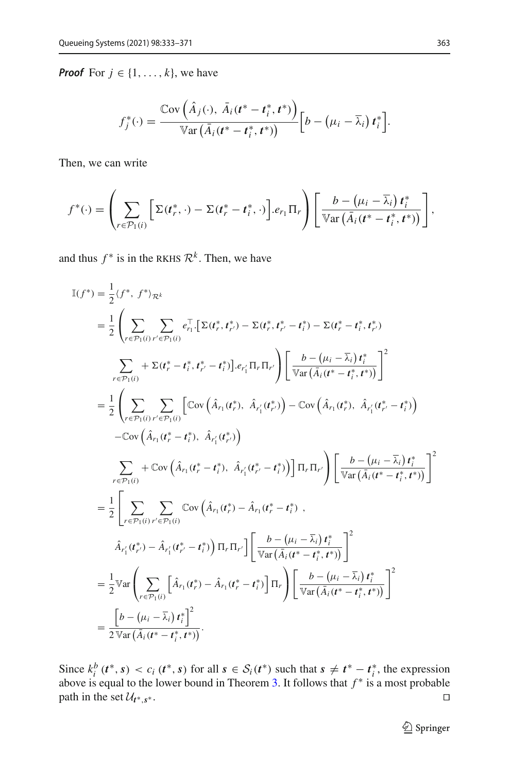*Proof* For  $j \in \{1, \ldots, k\}$ , we have

$$
f_j^*(\cdot) = \frac{\mathbb{C}\mathrm{ov}\left(\hat{A}_j(\cdot), \ \bar{A}_i(t^* - t_i^*, t^*)\right)}{\mathbb{V}\mathrm{ar}\left(\bar{A}_i(t^* - t_i^*, t^*)\right)} \Big[b - \left(\mu_i - \bar{\lambda}_i\right)t_i^*\Big].
$$

Then, we can write

$$
f^*(\cdot) = \left(\sum_{r \in \mathcal{P}_1(i)} \left[\Sigma(t_r^*, \cdot) - \Sigma(t_r^* - t_i^*, \cdot)\right] \cdot e_{r_1} \Pi_r\right) \left[\frac{b - (\mu_i - \overline{\lambda}_i) t_i^*}{\mathbb{V}\text{ar}(\overline{A}_i(t^* - t_i^*, t^*))}\right],
$$

and thus  $f^*$  is in the RKHS  $\mathcal{R}^k$ . Then, we have

$$
\mathbb{I}(f^*) = \frac{1}{2} \langle f^*, f^* \rangle_{\mathcal{R}^k}
$$
\n
$$
= \frac{1}{2} \left( \sum_{r \in \mathcal{P}_1(i)} \sum_{r' \in \mathcal{P}_1(i)} e_{r_1}^{\top} \left[ \Sigma(t_r^*, t_{r'}^*) - \Sigma(t_r^*, t_{r'}^* - t_l^*) - \Sigma(t_r^* - t_l^*, t_{r'}^*) \right] \right)
$$
\n
$$
\sum_{r \in \mathcal{P}_1(i)} + \Sigma(t_r^* - t_l^*, t_{r'}^* - t_l^*) \Big] \cdot e_{r_1}^{\top} \Pi_r \Pi_{r'} \right) \left[ \frac{b - (\mu_i - \overline{\lambda}_i) t_l^*}{\sqrt{\text{ar}(\overline{A}_i(t^* - t_l^*, t^*))}} \right]^2
$$
\n
$$
= \frac{1}{2} \left( \sum_{r \in \mathcal{P}_1(i)} \sum_{r' \in \mathcal{P}_1(i)} \left[ \text{Cov} \left( \hat{A}_{r_1}(t_r^*), \hat{A}_{r_1'}(t_{r'}^*) - \text{Cov} \left( \hat{A}_{r_1}(t_r^*), \hat{A}_{r_1'}(t_{r'}^* - t_l^*) \right) \right) \right. \left. - \text{Cov} \left( \hat{A}_{r_1}(t_r^* - t_l^*), \hat{A}_{r_1'}(t_{r'}^*) \right) \right]
$$
\n
$$
= \frac{1}{2} \left( \sum_{r \in \mathcal{P}_1(i)} \sum_{r' \in \mathcal{P}_1(i)} \text{Cov} \left( \hat{A}_{r_1}(t_r^* - t_l^*), \hat{A}_{r_1'}(t_{r'}^* - t_l^*) \right) \right] \Pi_r \Pi_{r'} \right) \left[ \frac{b - (\mu_i - \overline{\lambda}_i) t_l^*}{\sqrt{\text{ar}(\overline{A}_i(t^* - t_l^*, t^*))}} \right]^2
$$
\n
$$
= \frac{1}{2} \left[ \sum_{r \in \mathcal{P}_1(i)} \sum_{r' \in \mathcal{P}_1(i)} \text{Cov} \left( \hat{A}_{r_1}(t_r^*) - \hat{A}_{r_1'}(t_r^* - t_l^*) \right) \right]
$$
\n<

Since  $k_i^b$  ( $t^*, s$ ) <  $c_i$  ( $t^*, s$ ) for all  $s \in S_i(t^*)$  such that  $s \neq t^* - t_i^*$ , the expression above is equal to the lower bound in Theorem [3.](#page-11-0) It follows that *f* ∗ is a most probable path in the set  $\mathcal{U}_{t^*,s^*}$ .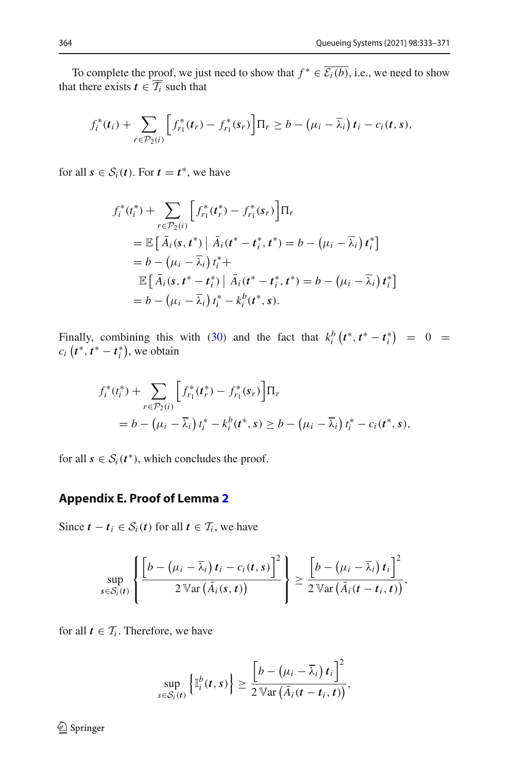To complete the proof, we just need to show that  $f^* \in \overline{\mathcal{E}_i(b)}$ , i.e., we need to show that there exists  $t \in \overline{T_i}$  such that

$$
f_i^*(t_i) + \sum_{r \in \mathcal{P}_2(i)} \left[ f_{r_1}^*(t_r) - f_{r_1}^*(s_r) \right] \Pi_r \ge b - \left( \mu_i - \overline{\lambda}_i \right) t_i - c_i(t, s),
$$

for all  $s \in S_i(t)$ . For  $t = t^*$ , we have

$$
f_i^*(t_i^*) + \sum_{r \in \mathcal{P}_2(i)} \left[ f_{r_1}^*(t_r^*) - f_{r_1}^*(s_r) \right] \Pi_r
$$
  
=  $\mathbb{E} \left[ \bar{A}_i(s, t^*) \mid \bar{A}_i(t^* - t_i^*, t^*) = b - (\mu_i - \bar{\lambda}_i) t_i^* \right]$   
=  $b - (\mu_i - \bar{\lambda}_i) t_i^* +$   
 $\mathbb{E} \left[ \bar{A}_i(s, t^* - t_i^*) \mid \bar{A}_i(t^* - t_i^*, t^*) = b - (\mu_i - \bar{\lambda}_i) t_i^* \right]$   
=  $b - (\mu_i - \bar{\lambda}_i) t_i^* - k_i^b(t^*, s).$ 

Finally, combining this with [\(30\)](#page-30-1) and the fact that  $k_i^b$  ( $t^*, t^* - t_i^*$ ) = 0 =  $c_i$  ( $t^*$ ,  $t^* - t_i^*$ ), we obtain

$$
f_i^*(t_i^*) + \sum_{r \in \mathcal{P}_2(i)} \left[ f_{r_1}^*(t_r^*) - f_{r_1}^*(s_r) \right] \Pi_r
$$
  
=  $b - (\mu_i - \overline{\lambda}_i) t_i^* - k_i^b(t^*, s) \ge b - (\mu_i - \overline{\lambda}_i) t_i^* - c_i(t^*, s),$ 

for all  $s \in S_i(t^*)$ , which concludes the proof.

## <span id="page-32-0"></span>**Appendix E. Proof of Lemma [2](#page-13-4)**

Since  $t - t_i \in S_i(t)$  for all  $t \in T_i$ , we have

$$
\sup_{s \in S_i(t)} \left\{ \frac{\left[b - \left(\mu_i - \overline{\lambda}_i\right)t_i - c_i(t,s)\right]^2}{2 \operatorname{Var}\left(\overline{A}_i(s,t)\right)}\right\} \geq \frac{\left[b - \left(\mu_i - \overline{\lambda}_i\right)t_i\right]^2}{2 \operatorname{Var}\left(\overline{A}_i(t-t_i,t)\right)},
$$

for all  $t \in \mathcal{T}_i$ . Therefore, we have

$$
\sup_{s\in\mathcal{S}_i(t)}\left\{\mathbb{I}_i^b(t,s)\right\}\geq \frac{\left[b-\left(\mu_i-\overline{\lambda}_i\right)t_i\right]^2}{2\,\mathbb{V}\text{ar}\left(\overline{A}_i(t-t_i,t)\right)},
$$

 $\hat{2}$  Springer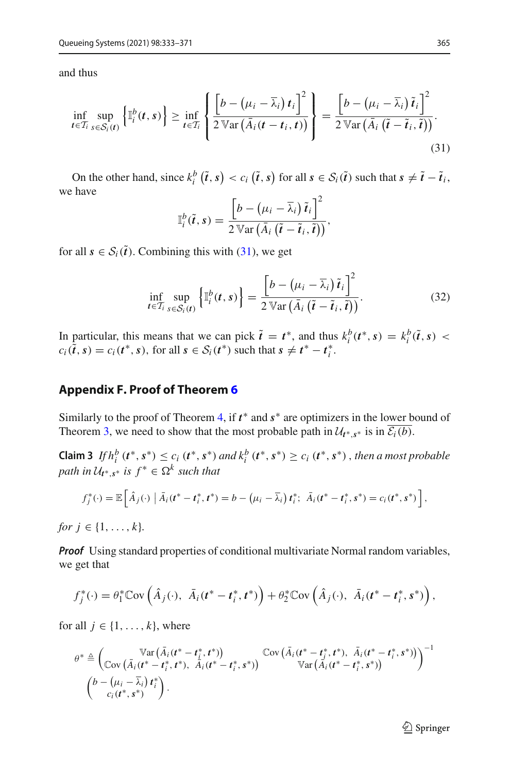and thus

$$
\inf_{t \in \mathcal{T}_i} \sup_{s \in \mathcal{S}_i(t)} \left\{ \mathbb{I}_i^b(t,s) \right\} \geq \inf_{t \in \mathcal{T}_i} \left\{ \frac{\left[ b - \left( \mu_i - \overline{\lambda}_i \right) t_i \right]^2}{2 \, \mathbb{V} \text{ar} \left( \overline{A}_i(t-t_i,t) \right)} \right\} = \frac{\left[ b - \left( \mu_i - \overline{\lambda}_i \right) \tilde{t}_i \right]^2}{2 \, \mathbb{V} \text{ar} \left( \overline{A}_i \left( \tilde{t} - \tilde{t}_i, \tilde{t} \right) \right)}.
$$
\n(31)

On the other hand, since  $k_i^b(\tilde{t}, s) < c_i(\tilde{t}, s)$  for all  $s \in S_i(\tilde{t})$  such that  $s \neq \tilde{t} - \tilde{t}_i$ , we have

<span id="page-33-1"></span>
$$
\mathbb{I}_{i}^{b}(\tilde{t},s) = \frac{\left[b - (\mu_{i} - \overline{\lambda}_{i}) \tilde{t}_{i}\right]^{2}}{2 \operatorname{Var} (\overline{A}_{i} (\tilde{t} - \tilde{t}_{i}, \tilde{t}))},
$$

for all  $s \in S_i(\tilde{t})$ . Combining this with [\(31\)](#page-33-1), we get

$$
\inf_{t \in \mathcal{T}_i} \sup_{s \in \mathcal{S}_i(t)} \left\{ \mathbb{I}_i^b(t,s) \right\} = \frac{\left[ b - \left( \mu_i - \overline{\lambda}_i \right) \tilde{t}_i \right]^2}{2 \operatorname{Var} \left( \bar{A}_i \left( \tilde{t} - \tilde{t}_i, \tilde{t} \right) \right)}.
$$
\n(32)

In particular, this means that we can pick  $\tilde{t} = t^*$ , and thus  $k_i^b(t^*, s) = k_i^b(\tilde{t}, s)$  $c_i(t, s) = c_i(t^*, s)$ , for all  $s \in S_i(t^*)$  such that  $s \neq t^* - t_i^*$ .

#### <span id="page-33-0"></span>**Appendix F. Proof of Theorem [6](#page-14-0)**

Similarly to the proof of Theorem [4,](#page-13-0) if *t* ∗ and *s*∗ are optimizers in the lower bound of Theorem [3,](#page-11-0) we need to show that the most probable path in  $\mathcal{U}_{t^*,s^*}$  is in  $\mathcal{E}_i(b)$ .

**Claim 3** *If*  $h_i^b$  ( $t^*$ ,  $s^*$ )  $\leq$   $c_i$  ( $t^*$ ,  $s^*$ ) and  $k_i^b$  ( $t^*$ ,  $s^*$ )  $\geq$   $c_i$  ( $t^*$ ,  $s^*$ ), then a most probable *path in*  $U_{t^* s^*}$  *is*  $f^* \in \Omega^k$  *such that* 

$$
f_j^*(\cdot) = \mathbb{E}\left[\hat{A}_j(\cdot) \mid \bar{A}_i(t^* - t_i^*, t^*) = b - (\mu_i - \bar{\lambda}_i) t_i^*; \ \bar{A}_i(t^* - t_i^*, s^*) = c_i(t^*, s^*)\right],
$$

*for*  $j \in \{1, ..., k\}$ *.* 

*Proof* Using standard properties of conditional multivariate Normal random variables, we get that

$$
f_j^*(\cdot) = \theta_1^* \mathbb{C}\text{ov}\left(\hat{A}_j(\cdot), \ \bar{A}_i(t^* - t_i^*, t^*)\right) + \theta_2^* \mathbb{C}\text{ov}\left(\hat{A}_j(\cdot), \ \bar{A}_i(t^* - t_i^*, s^*)\right),
$$

for all  $j \in \{1, \ldots, k\}$ , where

$$
\theta^* \triangleq \begin{pmatrix} \mathbb{V}\text{ar}\left(\bar{A}_i(t^* - t_i^*, t^*)\right) & \mathbb{C}\text{ov}\left(\bar{A}_i(t^* - t_i^*, t^*), \ \bar{A}_i(t^* - t_i^*, s^*)\right) \\ \mathbb{C}\text{ov}\left(\bar{A}_i(t^* - t_i^*, t^*), \ \bar{A}_i(t^* - t_i^*, s^*)\right) & \mathbb{V}\text{ar}\left(\bar{A}_i(t^* - t_i^*, s^*)\right) \end{pmatrix}^{-1}
$$

$$
\begin{pmatrix} b - \left(\mu_i - \bar{\lambda}_i\right)t_i^* \\ c_i(t^*, s^*) \end{pmatrix}.
$$

 $\mathcal{D}$  Springer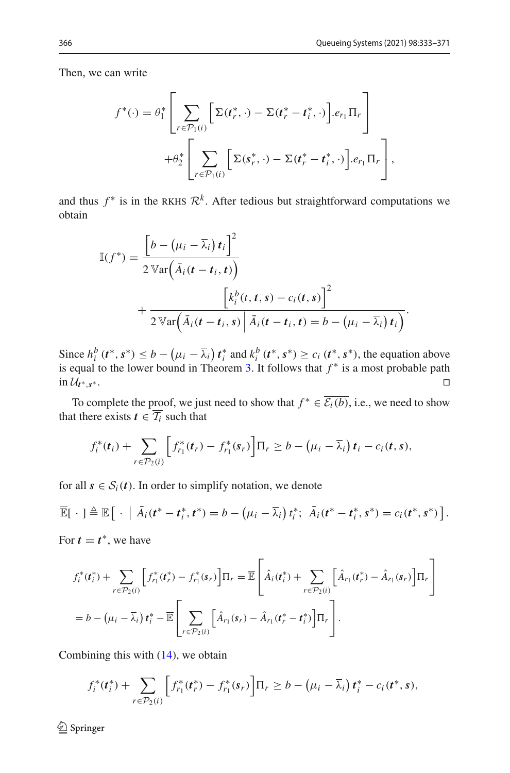Then, we can write

$$
f^*(\cdot) = \theta_1^* \left[ \sum_{r \in \mathcal{P}_1(i)} \left[ \Sigma(t_r^*, \cdot) - \Sigma(t_r^* - t_i^*, \cdot) \right] . e_{r_1} \Pi_r \right] + \theta_2^* \left[ \sum_{r \in \mathcal{P}_1(i)} \left[ \Sigma(s_r^*, \cdot) - \Sigma(t_r^* - t_i^*, \cdot) \right] . e_{r_1} \Pi_r \right],
$$

and thus  $f^*$  is in the RKHS  $\mathcal{R}^k$ . After tedious but straightforward computations we obtain

$$
\mathbb{I}(f^*) = \frac{\left[b - (\mu_i - \overline{\lambda}_i) t_i\right]^2}{2 \operatorname{Var}\left(\overline{A}_i(t - t_i, t)\right)} + \frac{\left[k_i^b(t, t, s) - c_i(t, s)\right]^2}{2 \operatorname{Var}\left(\overline{A}_i(t - t_i, s) \mid \overline{A}_i(t - t_i, t) = b - (\mu_i - \overline{\lambda}_i) t_i\right)}.
$$

Since  $h_i^b$  ( $t^*, s^*$ )  $\leq b - (\mu_i - \overline{\lambda}_i) t_i^*$  and  $k_i^b$  ( $t^*, s^*$ )  $\geq c_i$  ( $t^*, s^*$ ), the equation above is equal to the lower bound in Theorem [3.](#page-11-0) It follows that *f* ∗ is a most probable path in  $\mathcal{U}_{t^*,s^*}$ . □

To complete the proof, we just need to show that  $f^* \in \overline{\mathcal{E}_i(b)}$ , i.e., we need to show that there exists  $t \in \overline{T_i}$  such that

$$
f_i^*(t_i) + \sum_{r \in \mathcal{P}_2(i)} \left[ f_{r_1}^*(t_r) - f_{r_1}^*(s_r) \right] \Pi_r \geq b - \left( \mu_i - \overline{\lambda}_i \right) t_i - c_i(t, s),
$$

for all  $s \in S_i(t)$ . In order to simplify notation, we denote

$$
\overline{\mathbb{E}}[\cdot] \triangleq \mathbb{E}[\cdot|\overline{A}_i(t^* - t_i^*, t^*) = b - (\mu_i - \overline{\lambda}_i)t_i^*;\ \overline{A}_i(t^* - t_i^*, s^*) = c_i(t^*, s^*)].
$$

For  $t = t^*$ , we have

$$
f_i^*(t_i^*) + \sum_{r \in \mathcal{P}_2(i)} \left[ f_{r_1}^*(t_r^*) - f_{r_1}^*(s_r) \right] \Pi_r = \overline{\mathbb{E}} \left[ \hat{A}_i(t_i^*) + \sum_{r \in \mathcal{P}_2(i)} \left[ \hat{A}_{r_1}(t_r^*) - \hat{A}_{r_1}(s_r) \right] \Pi_r \right]
$$
  
=  $b - (\mu_i - \overline{\lambda}_i) t_i^* - \overline{\mathbb{E}} \left[ \sum_{r \in \mathcal{P}_2(i)} \left[ \hat{A}_{r_1}(s_r) - \hat{A}_{r_1}(t_r^* - t_i^*) \right] \Pi_r \right].$ 

Combining this with  $(14)$ , we obtain

$$
f_i^*(t_i^*) + \sum_{r \in \mathcal{P}_2(i)} \left[ f_{r_1}^*(t_r^*) - f_{r_1}^*(s_r) \right] \Pi_r \geq b - (\mu_i - \overline{\lambda}_i) t_i^* - c_i(t^*, s),
$$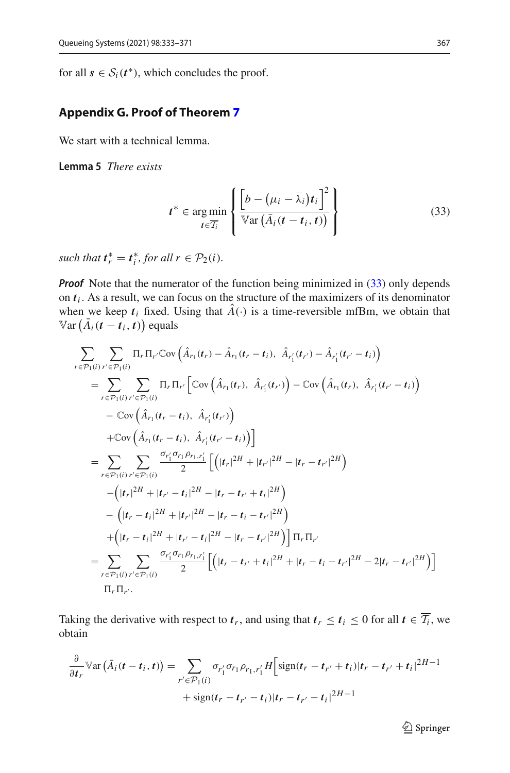for all  $s \in S_i(t^*)$ , which concludes the proof.

## <span id="page-35-0"></span>**Appendix G. Proof of Theorem [7](#page-16-0)**

<span id="page-35-2"></span>We start with a technical lemma.

**Lemma 5** *There exists*

<span id="page-35-1"></span>
$$
t^* \in \underset{t \in \overline{T_i}}{\arg \min} \left\{ \frac{\left[b - (\mu_i - \overline{\lambda}_i)t_i\right]^2}{\mathbb{V}\text{ar}\left(\overline{A}_i(t - t_i, t)\right)} \right\}
$$
(33)

such that  $t_r^* = t_i^*$ , for all  $r \in \mathcal{P}_2(i)$ .

*Proof* Note that the numerator of the function being minimized in [\(33\)](#page-35-1) only depends on  $t_i$ . As a result, we can focus on the structure of the maximizers of its denominator when we keep  $t_i$  fixed. Using that  $\hat{A}(\cdot)$  is a time-reversible mfBm, we obtain that  $\mathbb{V}\text{ar}\left(\bar{A}_{i}\left(\boldsymbol{t}-\boldsymbol{t}_{i},\boldsymbol{t}\right)\right)$  equals

$$
\sum_{r \in \mathcal{P}_1(i)} \sum_{r' \in \mathcal{P}_1(i)} \Pi_r \Pi_{r'} \mathbb{C}ov\left(\hat{A}_{r_1}(t_r) - \hat{A}_{r_1}(t_r - t_i), \ \hat{A}_{r'_1}(t_{r'}) - \hat{A}_{r'_1}(t_{r'} - t_i)\right)
$$
\n
$$
= \sum_{r \in \mathcal{P}_1(i)} \sum_{r' \in \mathcal{P}_1(i)} \Pi_r \Pi_{r'} \left[\mathbb{C}ov\left(\hat{A}_{r_1}(t_r), \ \hat{A}_{r'_1}(t_{r'})\right) - \mathbb{C}ov\left(\hat{A}_{r_1}(t_r), \ \hat{A}_{r'_1}(t_{r'} - t_i)\right)\right]
$$
\n
$$
- \mathbb{C}ov\left(\hat{A}_{r_1}(t_r - t_i), \ \hat{A}_{r'_1}(t_{r'})\right)
$$
\n
$$
+ \mathbb{C}ov\left(\hat{A}_{r_1}(t_r - t_i), \ \hat{A}_{r'_1}(t_{r'})\right)
$$
\n
$$
= \sum_{r \in \mathcal{P}_1(i)} \sum_{r' \in \mathcal{P}_1(i)} \frac{\sigma_{r'_1} \sigma_{r_1} \rho_{r_1, r'_1}}{2} \left[\left(|t_r|^{2H} + |t_{r'}|^{2H} - |t_r - t_{r'}|^{2H}\right)\right]
$$
\n
$$
- \left(|t_r|^{2H} + |t_{r'} - t_i|^{2H} - |t_r - t_{r'}|^{2H}\right)
$$
\n
$$
+ \left(|t_r - t_i|^{2H} + |t_{r'} - t_i|^{2H} - |t_r - t_{r'}|^{2H}\right) \right] \Pi_r \Pi_r'
$$
\n
$$
= \sum_{r \in \mathcal{P}_1(i)} \sum_{r' \in \mathcal{P}_1(i)} \frac{\sigma_{r'_1} \sigma_{r_1} \rho_{r_1, r'_1}}{2} \left[\left(|t_r - t_{r'} + t_i|^{2H} + |t_r - t_i - t_{r'}|^{2H} - 2|t_r - t_{r'}|^{2H}\right)\right]
$$
\n
$$
\Pi_r \Pi_{r'}
$$

Taking the derivative with respect to  $t_r$ , and using that  $t_r \le t_i \le 0$  for all  $t \in \overline{T_i}$ , we obtain

$$
\frac{\partial}{\partial t_r} \mathbb{V}\text{ar}\left(\bar{A}_i(t - t_i, t)\right) = \sum_{r' \in \mathcal{P}_1(i)} \sigma_{r'_1} \sigma_{r_1, r'_1} H \left[\text{sign}(t_r - t_{r'} + t_i)|t_r - t_{r'} + t_i|^{2H-1} + \text{sign}(t_r - t_{r'} - t_i)|t_r - t_{r'} - t_i|^{2H-1}\right]
$$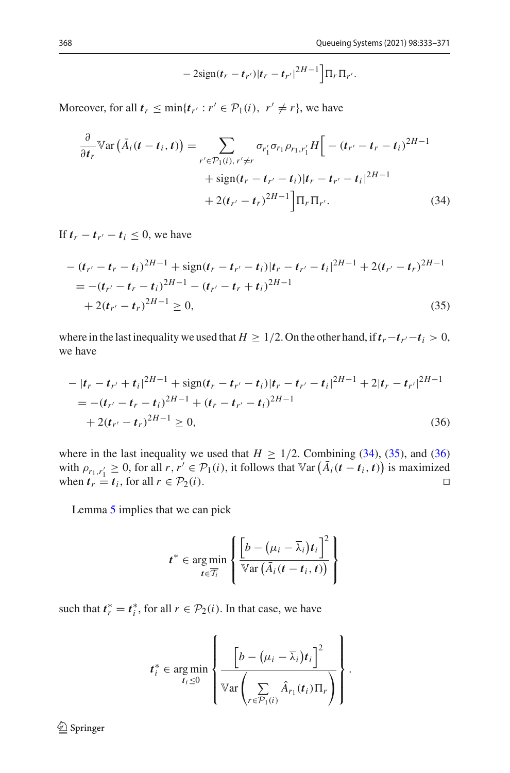<span id="page-36-1"></span><span id="page-36-0"></span>
$$
-2\text{sign}(t_r - t_{r'})|t_r - t_{r'}|^{2H-1}\Big]\Pi_r\Pi_{r'}.
$$

Moreover, for all  $t_r \leq \min\{t_{r'} : r' \in \mathcal{P}_1(i), r' \neq r\}$ , we have

$$
\frac{\partial}{\partial t_r} \mathbb{V}\text{ar}\left(\bar{A}_i(t - t_i, t)\right) = \sum_{r' \in \mathcal{P}_1(i), r' \neq r} \sigma_{r'_1} \sigma_{r_1} \rho_{r_1, r'_1} H \Big[ -(t_{r'} - t_r - t_i)^{2H-1} + \text{sign}(t_r - t_{r'} - t_i) |t_r - t_{r'} - t_i|^{2H-1} + 2(t_{r'} - t_r)^{2H-1} \Big] \Pi_r \Pi_{r'}.
$$
\n(34)

If  $t_r - t_{r'} - t_i \leq 0$ , we have

$$
-(t_{r'}-t_r-t_i)^{2H-1} + \text{sign}(t_r-t_{r'}-t_i)|t_r-t_{r'}-t_i|^{2H-1} + 2(t_{r'}-t_r)^{2H-1}
$$
  
= 
$$
-(t_{r'}-t_r-t_i)^{2H-1} - (t_{r'}-t_r+t_i)^{2H-1}
$$
  
+ 
$$
2(t_{r'}-t_r)^{2H-1} \ge 0,
$$
 (35)

where in the last inequality we used that  $H \geq 1/2$ . On the other hand, if  $t_r - t_{r'} - t_i > 0$ , we have

$$
-|t_r - t_{r'} + t_i|^{2H-1} + \text{sign}(t_r - t_{r'} - t_i)|t_r - t_{r'} - t_i|^{2H-1} + 2|t_r - t_{r'}|^{2H-1}
$$
  
= 
$$
-(t_{r'} - t_r - t_i)^{2H-1} + (t_r - t_{r'} - t_i)^{2H-1}
$$
  
+ 
$$
2(t_{r'} - t_r)^{2H-1} \ge 0,
$$
 (36)

where in the last inequality we used that  $H \ge 1/2$ . Combining [\(34\)](#page-36-0), [\(35\)](#page-36-1), and [\(36\)](#page-36-2) with  $\rho_{r_1,r'_1} \geq 0$ , for all  $r, r' \in \mathcal{P}_1(i)$ , it follows that  $\mathbb{V}\text{ar}(\overline{A}_i(t-t_i, t))$  is maximized when  $t_r = t_i$ , for all  $r \in \mathcal{P}_2(i)$ .

Lemma [5](#page-35-2) implies that we can pick

<span id="page-36-2"></span>
$$
t^* \in \underset{t \in \overline{T_i}}{\arg \min} \left\{ \frac{\left[b - (\mu_i - \overline{\lambda}_i)t_i\right]^2}{\mathbb{V}\text{ar} \left(\overline{A}_i(t - t_i, t)\right)} \right\}
$$

such that  $t_r^* = t_i^*$ , for all  $r \in \mathcal{P}_2(i)$ . In that case, we have

$$
t_i^* \in \underset{t_i \leq 0}{\arg \min} \left\{ \frac{\left[b - (\mu_i - \overline{\lambda}_i)t_i\right]^2}{\mathbb{V}\text{ar}\left(\sum_{r \in \mathcal{P}_1(i)} \hat{A}_{r_1}(t_i)\Pi_r\right)}\right\}.
$$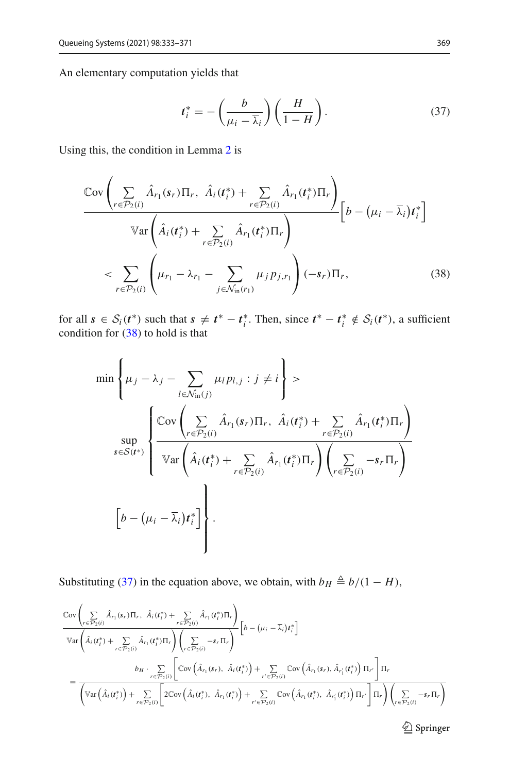An elementary computation yields that

<span id="page-37-1"></span><span id="page-37-0"></span>
$$
t_i^* = -\left(\frac{b}{\mu_i - \overline{\lambda}_i}\right) \left(\frac{H}{1 - H}\right). \tag{37}
$$

Using this, the condition in Lemma [2](#page-13-4) is

$$
\frac{\text{Cov}\left(\sum_{r \in \mathcal{P}_2(i)} \hat{A}_{r_1}(s_r) \Pi_r, \ \hat{A}_i(t_i^*) + \sum_{r \in \mathcal{P}_2(i)} \hat{A}_{r_1}(t_i^*) \Pi_r\right)}{\text{Var}\left(\hat{A}_i(t_i^*) + \sum_{r \in \mathcal{P}_2(i)} \hat{A}_{r_1}(t_i^*) \Pi_r\right)} \left[b - (\mu_i - \bar{\lambda}_i)t_i^*\right]
$$
\n
$$
< \sum_{r \in \mathcal{P}_2(i)} \left(\mu_{r_1} - \lambda_{r_1} - \sum_{j \in \mathcal{N}_{\text{in}}(r_1)} \mu_j p_{j,r_1}\right) (-s_r) \Pi_r, \tag{38}
$$

for all  $s \in S_i(t^*)$  such that  $s \neq t^* - t_i^*$ . Then, since  $t^* - t_i^* \notin S_i(t^*)$ , a sufficient condition for [\(38\)](#page-37-0) to hold is that

$$
\min \left\{ \mu_j - \lambda_j - \sum_{l \in \mathcal{N}_{\text{in}}(j)} \mu_l p_{l,j} : j \neq i \right\} >
$$
\n
$$
\sup_{s \in S(t^*)} \left\{ \frac{\text{Cov}\left(\sum_{r \in \mathcal{P}_2(i)} \hat{A}_{r_1}(s_r) \Pi_r, \ \hat{A}_i(t_i^*) + \sum_{r \in \mathcal{P}_2(i)} \hat{A}_{r_1}(t_i^*) \Pi_r\right)}{\text{Var}\left(\hat{A}_i(t_i^*) + \sum_{r \in \mathcal{P}_2(i)} \hat{A}_{r_1}(t_i^*) \Pi_r\right) \left(\sum_{r \in \mathcal{P}_2(i)} -s_r \Pi_r\right)}
$$
\n
$$
\left[b - (\mu_i - \bar{\lambda}_i)t_i^*\right] \left\}.
$$

Substituting [\(37\)](#page-37-1) in the equation above, we obtain, with  $b_H \triangleq b/(1 - H)$ ,

$$
\frac{\text{Cov}\left(\sum\limits_{r\in\mathcal{P}_2(i)}\hat{A}_{r_1}(s_r)\Pi_r,\ \hat{A}_i(t_i^*)+\sum\limits_{r\in\mathcal{P}_2(i)}\hat{A}_{r_1}(t_i^*)\Pi_r\right)}{\text{Var}\left(\hat{A}_i(t_i^*)+\sum\limits_{r\in\mathcal{P}_2(i)}\hat{A}_{r_1}(t_i^*)\Pi_r\right)\left(\sum\limits_{r\in\mathcal{P}_2(i)}-s_r\Pi_r\right)}\left[b-\left(\mu_i-\overline{\lambda}_i\right)t_i^*\right] \n=\frac{b_H\cdot\sum\limits_{r\in\mathcal{P}_2(i)}\left[\text{Cov}\left(\hat{A}_{r_1}(s_r),\ \hat{A}_i(t_i^*)\right)+\sum\limits_{r'\in\mathcal{P}_2(i)}\text{Cov}\left(\hat{A}_{r_1}(s_r),\ \hat{A}_{r'_1}(t_i^*)\right)\Pi_{r'}\right]\Pi_r}{\left(\text{Var}\left(\hat{A}_i(t_i^*)\right)+\sum\limits_{r\in\mathcal{P}_2(i)}\left[2\text{Cov}\left(\hat{A}_i(t_i^*),\ \hat{A}_{r_1}(t_i^*)\right)+\sum\limits_{r'\in\mathcal{P}_2(i)}\text{Cov}\left(\hat{A}_{r_1}(t_i^*),\ \hat{A}_{r'_1}(t_i^*)\right)\Pi_{r'}\right]\Pi_r\right)\left(\sum\limits_{r\in\mathcal{P}_2(i)}-s_r\Pi_r\right)}
$$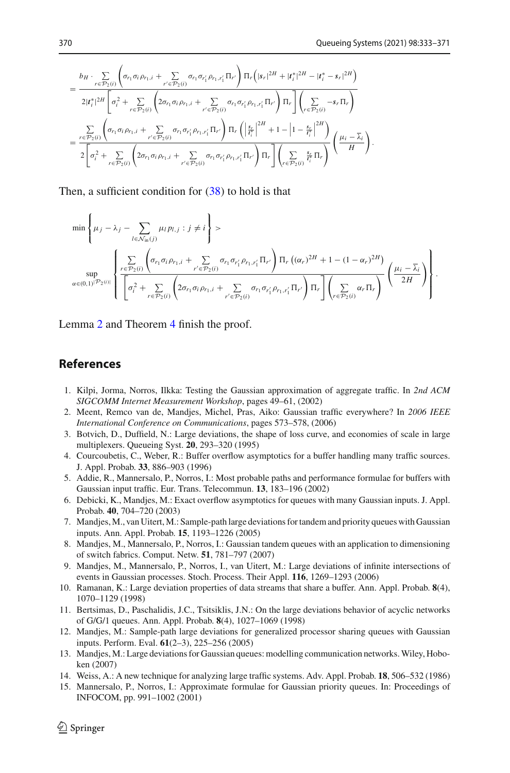$$
= \frac{b_{H} \cdot \sum\limits_{r \in \mathcal{P}_2(i)} \left( \sigma_{r_1} \sigma_i \rho_{r_1,i} + \sum\limits_{r' \in \mathcal{P}_2(i)} \sigma_{r_1} \sigma_{r'_1} \rho_{r_1,r'_1} \Pi_{r'} \right) \Pi_r \left( |s_r|^{2H} + |t_i^*|^{2H} - |t_i^* - s_r|^{2H} \right)}{2|t_i^*|^{2H} \left[ \sigma_i^2 + \sum\limits_{r \in \mathcal{P}_2(i)} \left( 2\sigma_{r_1} \sigma_i \rho_{r_1,i} + \sum\limits_{r' \in \mathcal{P}_2(i)} \sigma_{r_1} \sigma_{r'_1} \rho_{r_1,r'_1} \Pi_{r'} \right) \Pi_r \right] \left( \sum\limits_{r \in \mathcal{P}_2(i)} -s_r \Pi_r \right)}
$$
  

$$
= \frac{\sum\limits_{r \in \mathcal{P}_2(i)} \left( \sigma_{r_1} \sigma_i \rho_{r_1,i} + \sum\limits_{r' \in \mathcal{P}_2(i)} \sigma_{r_1} \sigma_{r'_1} \rho_{r_1,r'_1} \Pi_{r'} \right) \Pi_r \left( \left| \frac{s_r}{t_i^*} \right|^{2H} + 1 - \left| 1 - \frac{s_r}{t_i^*} \right|^{2H} \right)}{2 \left[ \sigma_i^2 + \sum\limits_{r \in \mathcal{P}_2(i)} \left( 2\sigma_{r_1} \sigma_i \rho_{r_1,i} + \sum\limits_{r' \in \mathcal{P}_2(i)} \sigma_{r_1} \sigma_{r'_1} \rho_{r_1,r'_1} \Pi_{r'} \right) \Pi_r \right] \left( \sum\limits_{r \in \mathcal{P}_2(i)} \frac{s_r}{t_i^*} \Pi_r \right)} \left( \frac{\mu_i - \overline{\lambda}_i}{H} \right).
$$

Then, a sufficient condition for  $(38)$  to hold is that

$$
\min \left\{ \mu_j - \lambda_j - \sum_{l \in \mathcal{N}_{\text{in}}(j)} \mu_l p_{l,j} : j \neq i \right\} >\n\sum_{v \in \mathcal{P}_2(i)} \left\{ \sigma_{r_1} \sigma_i \rho_{r_1,i} + \sum_{r' \in \mathcal{P}_2(i)} \sigma_{r_1} \sigma_{r'_1} \rho_{r_1,r'_1} \Pi_{r'} \right\} \Pi_r \left( (\alpha_r)^{2H} + 1 - (1 - \alpha_r)^{2H} \right) \\
\sum_{\alpha \in (0,1)} \left\{ \frac{\sum_{r \in \mathcal{P}_2(i)} \left( \sigma_{r_1} \sigma_i \rho_{r_1,i} + \sum_{r' \in \mathcal{P}_2(i)} \sigma_{r_1} \sigma_{r'_1} \rho_{r_1,r'_1} \Pi_{r'} \right) \Pi_r \right\} \left( \frac{\mu_i - \overline{\lambda}_i}{2H} \right) \right\}.
$$

Lemma [2](#page-13-4) and Theorem [4](#page-13-0) finish the proof.

#### **References**

- <span id="page-38-0"></span>1. Kilpi, Jorma, Norros, Ilkka: Testing the Gaussian approximation of aggregate traffic. In *2nd ACM SIGCOMM Internet Measurement Workshop*, pages 49–61, (2002)
- <span id="page-38-1"></span>2. Meent, Remco van de, Mandjes, Michel, Pras, Aiko: Gaussian traffic everywhere? In *2006 IEEE International Conference on Communications*, pages 573–578, (2006)
- <span id="page-38-2"></span>3. Botvich, D., Duffield, N.: Large deviations, the shape of loss curve, and economies of scale in large multiplexers. Queueing Syst. **20**, 293–320 (1995)
- 4. Courcoubetis, C., Weber, R.: Buffer overflow asymptotics for a buffer handling many traffic sources. J. Appl. Probab. **33**, 886–903 (1996)
- <span id="page-38-9"></span>5. Addie, R., Mannersalo, P., Norros, I.: Most probable paths and performance formulae for buffers with Gaussian input traffic. Eur. Trans. Telecommun. **13**, 183–196 (2002)
- <span id="page-38-3"></span>6. Debicki, K., Mandjes, M.: Exact overflow asymptotics for queues with many Gaussian inputs. J. Appl. Probab. **40**, 704–720 (2003)
- <span id="page-38-4"></span>7. Mandjes,M., van Uitert,M.: Sample-path large deviations for tandem and priority queues with Gaussian inputs. Ann. Appl. Probab. **15**, 1193–1226 (2005)
- <span id="page-38-5"></span>8. Mandjes, M., Mannersalo, P., Norros, I.: Gaussian tandem queues with an application to dimensioning of switch fabrics. Comput. Netw. **51**, 781–797 (2007)
- <span id="page-38-6"></span>9. Mandjes, M., Mannersalo, P., Norros, I., van Uitert, M.: Large deviations of infinite intersections of events in Gaussian processes. Stoch. Process. Their Appl. **116**, 1269–1293 (2006)
- <span id="page-38-7"></span>10. Ramanan, K.: Large deviation properties of data streams that share a buffer. Ann. Appl. Probab. **8**(4), 1070–1129 (1998)
- <span id="page-38-8"></span>11. Bertsimas, D., Paschalidis, J.C., Tsitsiklis, J.N.: On the large deviations behavior of acyclic networks of G/G/1 queues. Ann. Appl. Probab. **8**(4), 1027–1069 (1998)
- <span id="page-38-10"></span>12. Mandjes, M.: Sample-path large deviations for generalized processor sharing queues with Gaussian inputs. Perform. Eval. **61**(2–3), 225–256 (2005)
- <span id="page-38-11"></span>13. Mandjes, M.: Large deviations for Gaussian queues: modelling communication networks.Wiley, Hoboken (2007)
- <span id="page-38-12"></span>14. Weiss, A.: A new technique for analyzing large traffic systems. Adv. Appl. Probab. **18**, 506–532 (1986)
- <span id="page-38-13"></span>15. Mannersalo, P., Norros, I.: Approximate formulae for Gaussian priority queues. In: Proceedings of INFOCOM, pp. 991–1002 (2001)